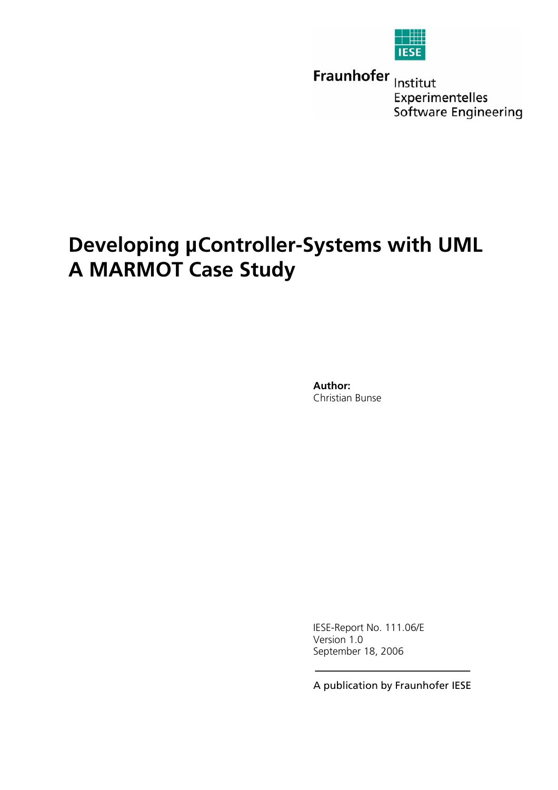| î |  |
|---|--|
|   |  |
|   |  |

Fraunhofer Institut Experimentelles Software Engineering

# **Developing µController-Systems with UML A MARMOT Case Study**

**Author:** Christian Bunse

IESE-Report No. 111.06/E Version 1.0 September 18, 2006

A publication by Fraunhofer IESE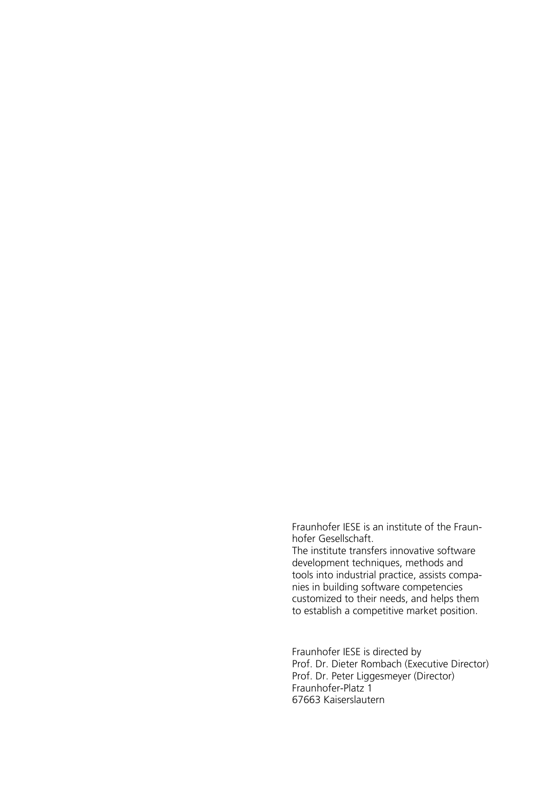Fraunhofer IESE is an institute of the Fraunhofer Gesellschaft.

The institute transfers innovative software development techniques, methods and tools into industrial practice, assists companies in building software competencies customized to their needs, and helps them to establish a competitive market position.

Fraunhofer IESE is directed by Prof. Dr. Dieter Rombach (Executive Director) Prof. Dr. Peter Liggesmeyer (Director) Fraunhofer-Platz 1 67663 Kaiserslautern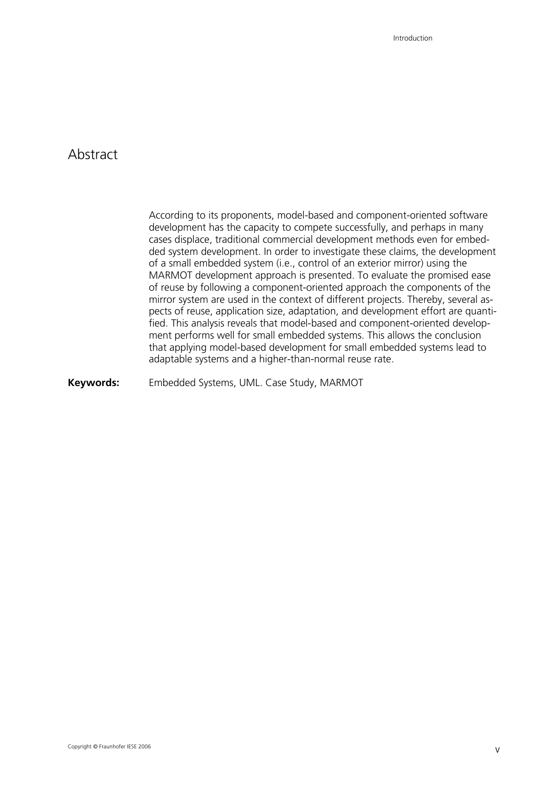# Abstract

According to its proponents, model-based and component-oriented software development has the capacity to compete successfully, and perhaps in many cases displace, traditional commercial development methods even for embedded system development. In order to investigate these claims, the development of a small embedded system (i.e., control of an exterior mirror) using the MARMOT development approach is presented. To evaluate the promised ease of reuse by following a component-oriented approach the components of the mirror system are used in the context of different projects. Thereby, several aspects of reuse, application size, adaptation, and development effort are quantified. This analysis reveals that model-based and component-oriented development performs well for small embedded systems. This allows the conclusion that applying model-based development for small embedded systems lead to adaptable systems and a higher-than-normal reuse rate.

**Keywords:** Embedded Systems, UML. Case Study, MARMOT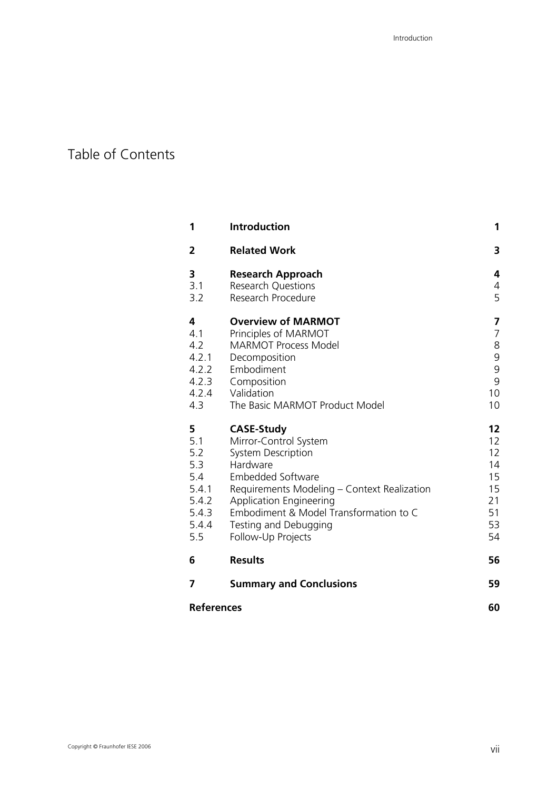# Table of Contents

| 1                                                                        | Introduction                                                                                                                                                                                                                                                                              | 1                                                        |
|--------------------------------------------------------------------------|-------------------------------------------------------------------------------------------------------------------------------------------------------------------------------------------------------------------------------------------------------------------------------------------|----------------------------------------------------------|
| $\overline{2}$                                                           | <b>Related Work</b>                                                                                                                                                                                                                                                                       | 3                                                        |
| 3<br>3.1<br>3.2                                                          | <b>Research Approach</b><br><b>Research Questions</b><br>Research Procedure                                                                                                                                                                                                               | 4<br>4<br>5                                              |
| 4<br>4.1<br>4.2<br>4.2.1<br>4.2.2<br>4.2.3<br>4.2.4<br>4.3               | <b>Overview of MARMOT</b><br>Principles of MARMOT<br><b>MARMOT Process Model</b><br>Decomposition<br>Embodiment<br>Composition<br>Validation<br>The Basic MARMOT Product Model                                                                                                            | 7<br>7<br>8<br>9<br>9<br>9<br>10<br>10                   |
| 5<br>5.1<br>5.2<br>5.3<br>5.4<br>5.4.1<br>5.4.2<br>5.4.3<br>5.4.4<br>5.5 | <b>CASE-Study</b><br>Mirror-Control System<br><b>System Description</b><br>Hardware<br><b>Embedded Software</b><br>Requirements Modeling - Context Realization<br><b>Application Engineering</b><br>Embodiment & Model Transformation to C<br>Testing and Debugging<br>Follow-Up Projects | 12<br>12<br>12<br>14<br>15<br>15<br>21<br>51<br>53<br>54 |
| 6                                                                        | <b>Results</b>                                                                                                                                                                                                                                                                            | 56                                                       |
| 7                                                                        | <b>Summary and Conclusions</b>                                                                                                                                                                                                                                                            | 59                                                       |
| <b>References</b>                                                        |                                                                                                                                                                                                                                                                                           | 60                                                       |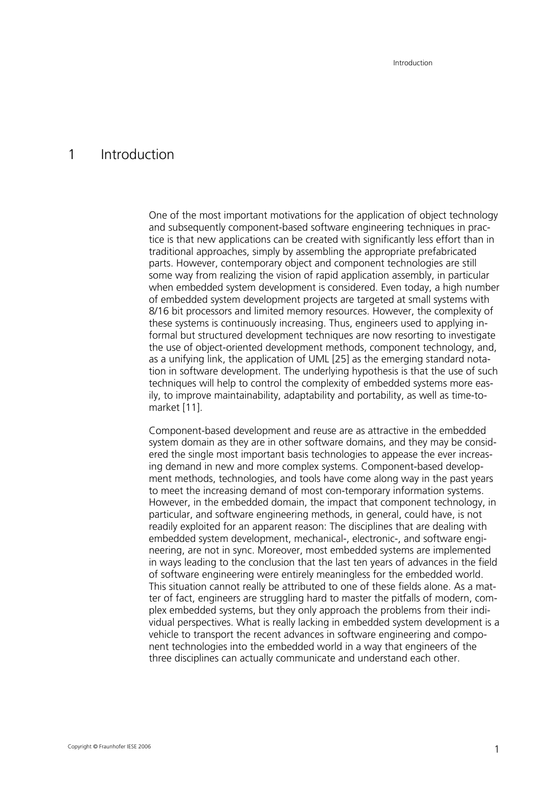## 1 Introduction

One of the most important motivations for the application of object technology and subsequently component-based software engineering techniques in practice is that new applications can be created with significantly less effort than in traditional approaches, simply by assembling the appropriate prefabricated parts. However, contemporary object and component technologies are still some way from realizing the vision of rapid application assembly, in particular when embedded system development is considered. Even today, a high number of embedded system development projects are targeted at small systems with 8/16 bit processors and limited memory resources. However, the complexity of these systems is continuously increasing. Thus, engineers used to applying informal but structured development techniques are now resorting to investigate the use of object-oriented development methods, component technology, and, as a unifying link, the application of UML [25] as the emerging standard notation in software development. The underlying hypothesis is that the use of such techniques will help to control the complexity of embedded systems more easily, to improve maintainability, adaptability and portability, as well as time-tomarket [11].

Component-based development and reuse are as attractive in the embedded system domain as they are in other software domains, and they may be considered the single most important basis technologies to appease the ever increasing demand in new and more complex systems. Component-based development methods, technologies, and tools have come along way in the past years to meet the increasing demand of most con-temporary information systems. However, in the embedded domain, the impact that component technology, in particular, and software engineering methods, in general, could have, is not readily exploited for an apparent reason: The disciplines that are dealing with embedded system development, mechanical-, electronic-, and software engineering, are not in sync. Moreover, most embedded systems are implemented in ways leading to the conclusion that the last ten years of advances in the field of software engineering were entirely meaningless for the embedded world. This situation cannot really be attributed to one of these fields alone. As a matter of fact, engineers are struggling hard to master the pitfalls of modern, complex embedded systems, but they only approach the problems from their individual perspectives. What is really lacking in embedded system development is a vehicle to transport the recent advances in software engineering and component technologies into the embedded world in a way that engineers of the three disciplines can actually communicate and understand each other.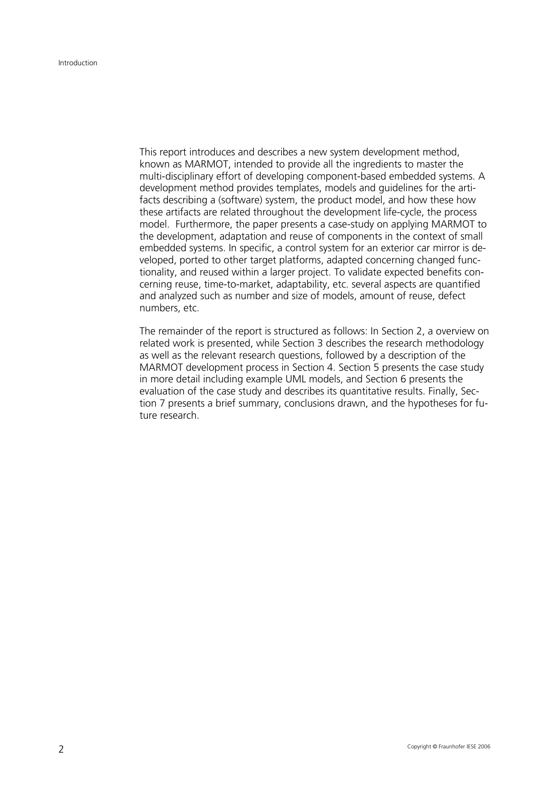This report introduces and describes a new system development method, known as MARMOT, intended to provide all the ingredients to master the multi-disciplinary effort of developing component-based embedded systems. A development method provides templates, models and guidelines for the artifacts describing a (software) system, the product model, and how these how these artifacts are related throughout the development life-cycle, the process model. Furthermore, the paper presents a case-study on applying MARMOT to the development, adaptation and reuse of components in the context of small embedded systems. In specific, a control system for an exterior car mirror is developed, ported to other target platforms, adapted concerning changed functionality, and reused within a larger project. To validate expected benefits concerning reuse, time-to-market, adaptability, etc. several aspects are quantified and analyzed such as number and size of models, amount of reuse, defect numbers, etc.

The remainder of the report is structured as follows: In Section 2, a overview on related work is presented, while Section 3 describes the research methodology as well as the relevant research questions, followed by a description of the MARMOT development process in Section 4. Section 5 presents the case study in more detail including example UML models, and Section 6 presents the evaluation of the case study and describes its quantitative results. Finally, Section 7 presents a brief summary, conclusions drawn, and the hypotheses for future research.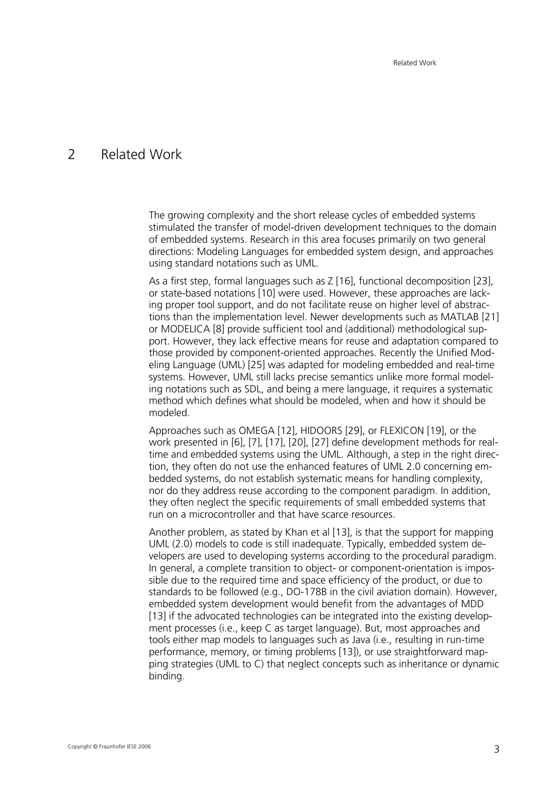# 2 Related Work

The growing complexity and the short release cycles of embedded systems stimulated the transfer of model-driven development techniques to the domain of embedded systems. Research in this area focuses primarily on two general directions: Modeling Languages for embedded system design, and approaches using standard notations such as UML.

As a first step, formal languages such as Z [16], functional decomposition [23], or state-based notations [10] were used. However, these approaches are lacking proper tool support, and do not facilitate reuse on higher level of abstractions than the implementation level. Newer developments such as MATLAB [21] or MODELICA [8] provide sufficient tool and (additional) methodological support. However, they lack effective means for reuse and adaptation compared to those provided by component-oriented approaches. Recently the Unified Modeling Language (UML) [25] was adapted for modeling embedded and real-time systems. However, UML still lacks precise semantics unlike more formal modeling notations such as SDL, and being a mere language, it requires a systematic method which defines what should be modeled, when and how it should be modeled.

Approaches such as OMEGA [12], HIDOORS [29], or FLEXICON [19], or the work presented in [6], [7], [17], [20], [27] define development methods for realtime and embedded systems using the UML. Although, a step in the right direction, they often do not use the enhanced features of UML 2.0 concerning embedded systems, do not establish systematic means for handling complexity, nor do they address reuse according to the component paradigm. In addition, they often neglect the specific requirements of small embedded systems that run on a microcontroller and that have scarce resources.

Another problem, as stated by Khan et al [13], is that the support for mapping UML (2.0) models to code is still inadequate. Typically, embedded system developers are used to developing systems according to the procedural paradigm. In general, a complete transition to object- or component-orientation is impossible due to the required time and space efficiency of the product, or due to standards to be followed (e.g., DO-178B in the civil aviation domain). However, embedded system development would benefit from the advantages of MDD [13] if the advocated technologies can be integrated into the existing development processes (i.e., keep C as target language). But, most approaches and tools either map models to languages such as Java (i.e., resulting in run-time performance, memory, or timing problems [13]), or use straightforward mapping strategies (UML to C) that neglect concepts such as inheritance or dynamic binding.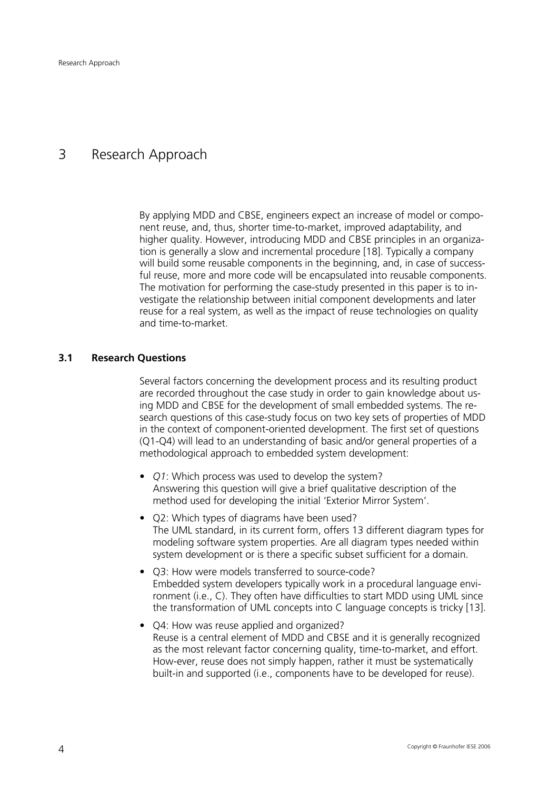# 3 Research Approach

By applying MDD and CBSE, engineers expect an increase of model or component reuse, and, thus, shorter time-to-market, improved adaptability, and higher quality. However, introducing MDD and CBSE principles in an organization is generally a slow and incremental procedure [18]. Typically a company will build some reusable components in the beginning, and, in case of successful reuse, more and more code will be encapsulated into reusable components. The motivation for performing the case-study presented in this paper is to investigate the relationship between initial component developments and later reuse for a real system, as well as the impact of reuse technologies on quality and time-to-market.

### **3.1 Research Questions**

Several factors concerning the development process and its resulting product are recorded throughout the case study in order to gain knowledge about using MDD and CBSE for the development of small embedded systems. The research questions of this case-study focus on two key sets of properties of MDD in the context of component-oriented development. The first set of questions (Q1-Q4) will lead to an understanding of basic and/or general properties of a methodological approach to embedded system development:

- *Q1*: Which process was used to develop the system? Answering this question will give a brief qualitative description of the method used for developing the initial 'Exterior Mirror System'.
- Q2: Which types of diagrams have been used? The UML standard, in its current form, offers 13 different diagram types for modeling software system properties. Are all diagram types needed within system development or is there a specific subset sufficient for a domain.
- O3: How were models transferred to source-code? Embedded system developers typically work in a procedural language environment (i.e., C). They often have difficulties to start MDD using UML since the transformation of UML concepts into C language concepts is tricky [13].
- Q4: How was reuse applied and organized? Reuse is a central element of MDD and CBSE and it is generally recognized as the most relevant factor concerning quality, time-to-market, and effort. How-ever, reuse does not simply happen, rather it must be systematically built-in and supported (i.e., components have to be developed for reuse).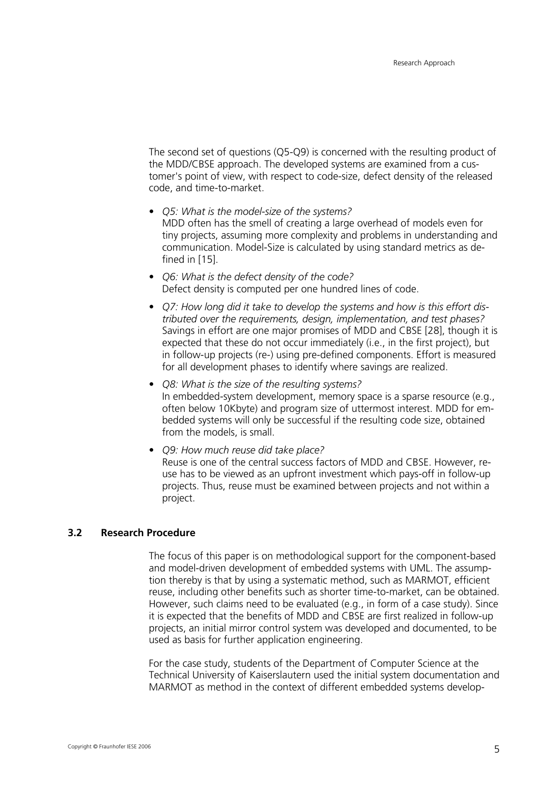The second set of questions (Q5-Q9) is concerned with the resulting product of the MDD/CBSE approach. The developed systems are examined from a customer's point of view, with respect to code-size, defect density of the released code, and time-to-market.

- *Q5: What is the model-size of the systems?*  MDD often has the smell of creating a large overhead of models even for tiny projects, assuming more complexity and problems in understanding and communication. Model-Size is calculated by using standard metrics as defined in [15].
- *Q6: What is the defect density of the code?*  Defect density is computed per one hundred lines of code.
- *Q7: How long did it take to develop the systems and how is this effort distributed over the requirements, design, implementation, and test phases?*  Savings in effort are one major promises of MDD and CBSE [28], though it is expected that these do not occur immediately (i.e., in the first project), but in follow-up projects (re-) using pre-defined components. Effort is measured for all development phases to identify where savings are realized.
- *Q8: What is the size of the resulting systems?*  In embedded-system development, memory space is a sparse resource (e.g., often below 10Kbyte) and program size of uttermost interest. MDD for embedded systems will only be successful if the resulting code size, obtained from the models, is small.
- *Q9: How much reuse did take place?*  Reuse is one of the central success factors of MDD and CBSE. However, reuse has to be viewed as an upfront investment which pays-off in follow-up projects. Thus, reuse must be examined between projects and not within a project.

### **3.2 Research Procedure**

The focus of this paper is on methodological support for the component-based and model-driven development of embedded systems with UML. The assumption thereby is that by using a systematic method, such as MARMOT, efficient reuse, including other benefits such as shorter time-to-market, can be obtained. However, such claims need to be evaluated (e.g., in form of a case study). Since it is expected that the benefits of MDD and CBSE are first realized in follow-up projects, an initial mirror control system was developed and documented, to be used as basis for further application engineering.

For the case study, students of the Department of Computer Science at the Technical University of Kaiserslautern used the initial system documentation and MARMOT as method in the context of different embedded systems develop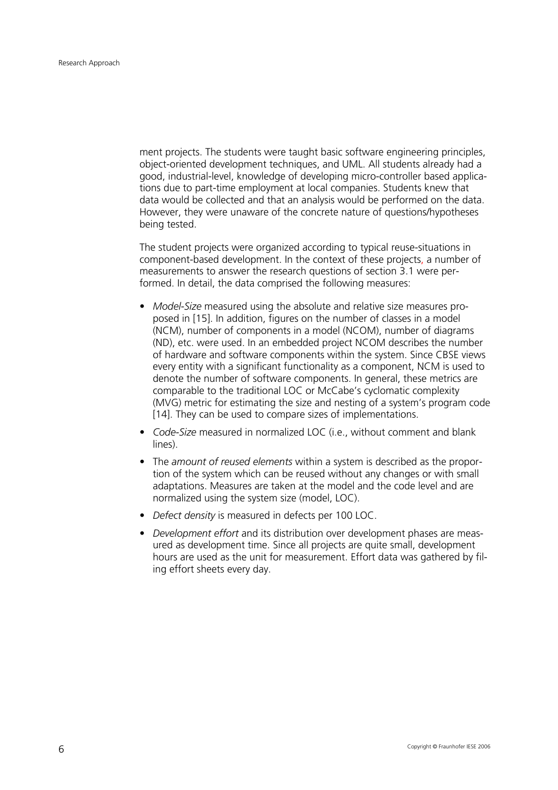ment projects. The students were taught basic software engineering principles, object-oriented development techniques, and UML. All students already had a good, industrial-level, knowledge of developing micro-controller based applications due to part-time employment at local companies. Students knew that data would be collected and that an analysis would be performed on the data. However, they were unaware of the concrete nature of questions/hypotheses being tested.

The student projects were organized according to typical reuse-situations in component-based development. In the context of these projects, a number of measurements to answer the research questions of section 3.1 were performed. In detail, the data comprised the following measures:

- *Model-Size* measured using the absolute and relative size measures proposed in [15]. In addition, figures on the number of classes in a model (NCM), number of components in a model (NCOM), number of diagrams (ND), etc. were used. In an embedded project NCOM describes the number of hardware and software components within the system. Since CBSE views every entity with a significant functionality as a component, NCM is used to denote the number of software components. In general, these metrics are comparable to the traditional LOC or McCabe's cyclomatic complexity (MVG) metric for estimating the size and nesting of a system's program code [14]. They can be used to compare sizes of implementations.
- *Code-Size* measured in normalized LOC (i.e., without comment and blank lines).
- The *amount of reused elements* within a system is described as the proportion of the system which can be reused without any changes or with small adaptations. Measures are taken at the model and the code level and are normalized using the system size (model, LOC).
- *Defect density* is measured in defects per 100 LOC.
- *Development effort* and its distribution over development phases are measured as development time. Since all projects are quite small, development hours are used as the unit for measurement. Effort data was gathered by filing effort sheets every day.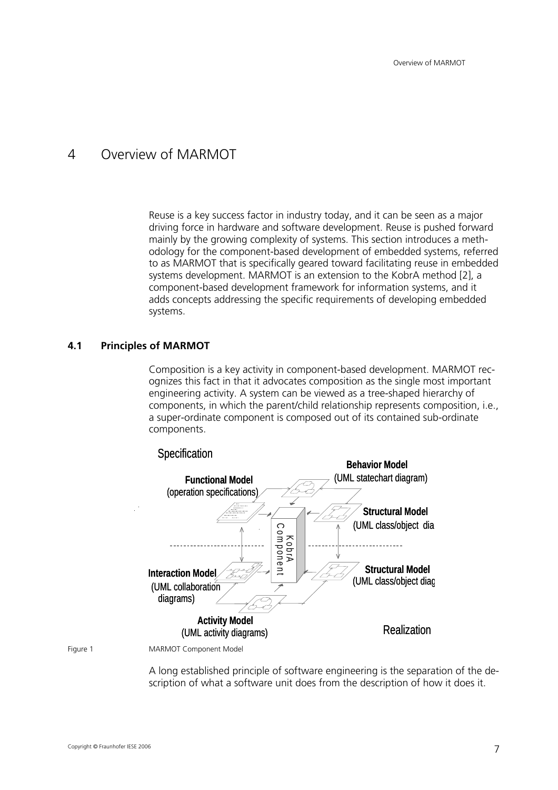# 4 Overview of MARMOT

Reuse is a key success factor in industry today, and it can be seen as a major driving force in hardware and software development. Reuse is pushed forward mainly by the growing complexity of systems. This section introduces a methodology for the component-based development of embedded systems, referred to as MARMOT that is specifically geared toward facilitating reuse in embedded systems development. MARMOT is an extension to the KobrA method [2], a component-based development framework for information systems, and it adds concepts addressing the specific requirements of developing embedded systems.

### **4.1 Principles of MARMOT**

Composition is a key activity in component-based development. MARMOT recognizes this fact in that it advocates composition as the single most important engineering activity. A system can be viewed as a tree-shaped hierarchy of components, in which the parent/child relationship represents composition, i.e., a super-ordinate component is composed out of its contained sub-ordinate components.



A long established principle of software engineering is the separation of the description of what a software unit does from the description of how it does it.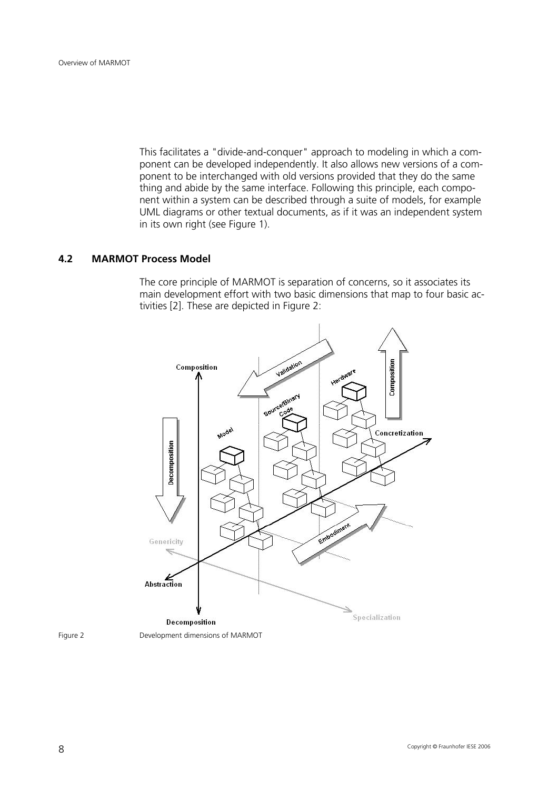This facilitates a "divide-and-conquer" approach to modeling in which a component can be developed independently. It also allows new versions of a component to be interchanged with old versions provided that they do the same thing and abide by the same interface. Following this principle, each component within a system can be described through a suite of models, for example UML diagrams or other textual documents, as if it was an independent system in its own right (see Figure 1).

### **4.2 MARMOT Process Model**

The core principle of MARMOT is separation of concerns, so it associates its main development effort with two basic dimensions that map to four basic activities [2]. These are depicted in Figure 2:





Figure 2 Development dimensions of MARMOT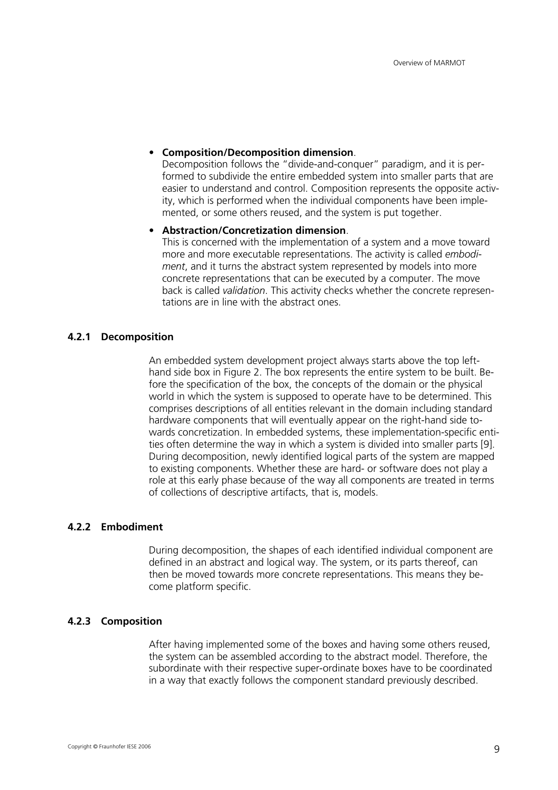### • **Composition/Decomposition dimension**.

Decomposition follows the "divide-and-conquer" paradigm, and it is performed to subdivide the entire embedded system into smaller parts that are easier to understand and control. Composition represents the opposite activity, which is performed when the individual components have been implemented, or some others reused, and the system is put together.

### • **Abstraction/Concretization dimension**.

This is concerned with the implementation of a system and a move toward more and more executable representations. The activity is called *embodiment*, and it turns the abstract system represented by models into more concrete representations that can be executed by a computer. The move back is called *validation*. This activity checks whether the concrete representations are in line with the abstract ones.

### **4.2.1 Decomposition**

An embedded system development project always starts above the top lefthand side box in Figure 2. The box represents the entire system to be built. Before the specification of the box, the concepts of the domain or the physical world in which the system is supposed to operate have to be determined. This comprises descriptions of all entities relevant in the domain including standard hardware components that will eventually appear on the right-hand side towards concretization. In embedded systems, these implementation-specific entities often determine the way in which a system is divided into smaller parts [9]. During decomposition, newly identified logical parts of the system are mapped to existing components. Whether these are hard- or software does not play a role at this early phase because of the way all components are treated in terms of collections of descriptive artifacts, that is, models.

### **4.2.2 Embodiment**

During decomposition, the shapes of each identified individual component are defined in an abstract and logical way. The system, or its parts thereof, can then be moved towards more concrete representations. This means they become platform specific.

### **4.2.3 Composition**

After having implemented some of the boxes and having some others reused, the system can be assembled according to the abstract model. Therefore, the subordinate with their respective super-ordinate boxes have to be coordinated in a way that exactly follows the component standard previously described.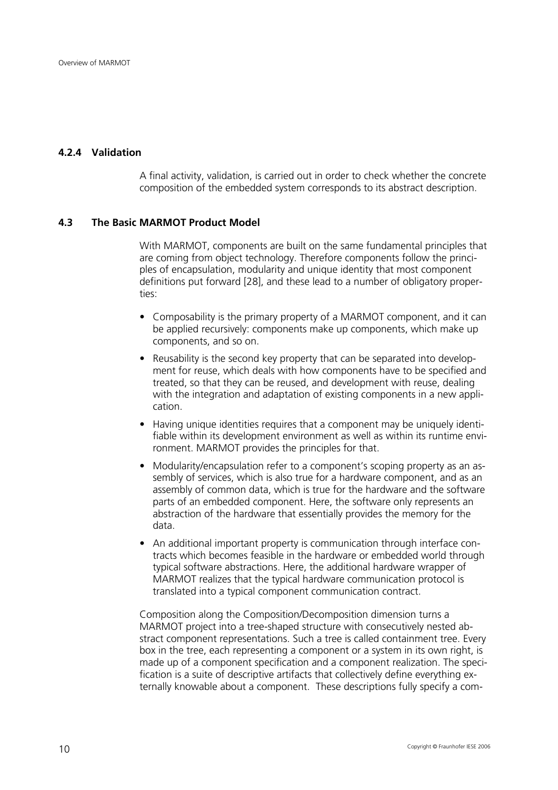### **4.2.4 Validation**

A final activity, validation, is carried out in order to check whether the concrete composition of the embedded system corresponds to its abstract description.

### **4.3 The Basic MARMOT Product Model**

With MARMOT, components are built on the same fundamental principles that are coming from object technology. Therefore components follow the principles of encapsulation, modularity and unique identity that most component definitions put forward [28], and these lead to a number of obligatory properties:

- Composability is the primary property of a MARMOT component, and it can be applied recursively: components make up components, which make up components, and so on.
- Reusability is the second key property that can be separated into development for reuse, which deals with how components have to be specified and treated, so that they can be reused, and development with reuse, dealing with the integration and adaptation of existing components in a new application.
- Having unique identities requires that a component may be uniquely identifiable within its development environment as well as within its runtime environment. MARMOT provides the principles for that.
- Modularity/encapsulation refer to a component's scoping property as an assembly of services, which is also true for a hardware component, and as an assembly of common data, which is true for the hardware and the software parts of an embedded component. Here, the software only represents an abstraction of the hardware that essentially provides the memory for the data.
- An additional important property is communication through interface contracts which becomes feasible in the hardware or embedded world through typical software abstractions. Here, the additional hardware wrapper of MARMOT realizes that the typical hardware communication protocol is translated into a typical component communication contract.

Composition along the Composition/Decomposition dimension turns a MARMOT project into a tree-shaped structure with consecutively nested abstract component representations. Such a tree is called containment tree. Every box in the tree, each representing a component or a system in its own right, is made up of a component specification and a component realization. The specification is a suite of descriptive artifacts that collectively define everything externally knowable about a component. These descriptions fully specify a com-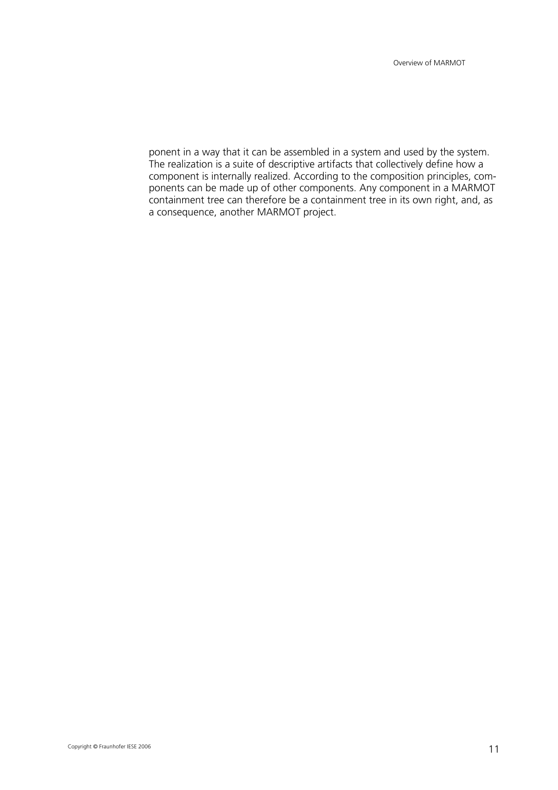ponent in a way that it can be assembled in a system and used by the system. The realization is a suite of descriptive artifacts that collectively define how a component is internally realized. According to the composition principles, components can be made up of other components. Any component in a MARMOT containment tree can therefore be a containment tree in its own right, and, as a consequence, another MARMOT project.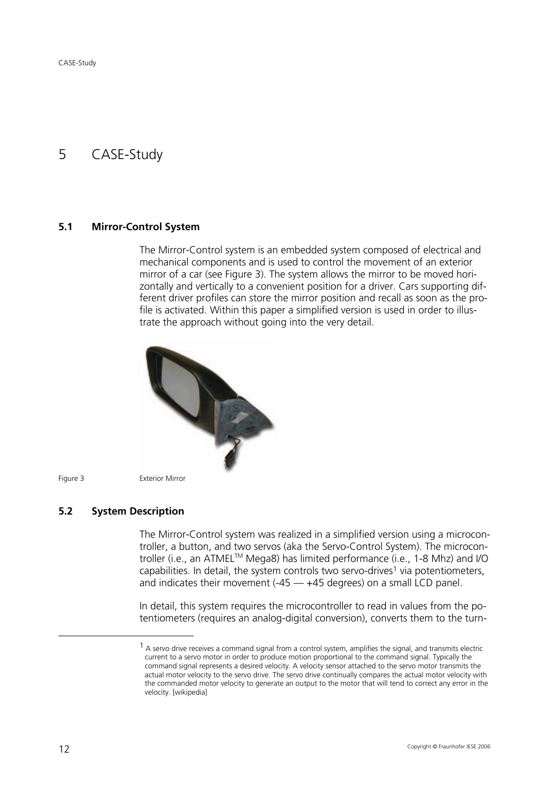# 5 CASE-Study

### **5.1 Mirror-Control System**

The Mirror-Control system is an embedded system composed of electrical and mechanical components and is used to control the movement of an exterior mirror of a car (see Figure 3). The system allows the mirror to be moved horizontally and vertically to a convenient position for a driver. Cars supporting different driver profiles can store the mirror position and recall as soon as the profile is activated. Within this paper a simplified version is used in order to illustrate the approach without going into the very detail.



Figure 3 Exterior Mirror

### **5.2 System Description**

The Mirror-Control system was realized in a simplified version using a microcontroller, a button, and two servos (aka the Servo-Control System). The microcontroller (i.e., an ATMELTM Mega8) has limited performance (i.e., 1-8 Mhz) and I/O capabilities. In detail, the system controls two servo-drives1 via potentiometers, and indicates their movement (-45 — +45 degrees) on a small LCD panel.

In detail, this system requires the microcontroller to read in values from the potentiometers (requires an analog-digital conversion), converts them to the turn-

<sup>&</sup>lt;sup>1</sup> A servo drive receives a command signal from a control system, amplifies the signal, and transmits electric current to a servo motor in order to produce motion proportional to the command signal. Typically the command signal represents a desired velocity. A velocity sensor attached to the servo motor transmits the actual motor velocity to the servo drive. The servo drive continually compares the actual motor velocity with the commanded motor velocity to generate an output to the motor that will tend to correct any error in the velocity. [wikipedia]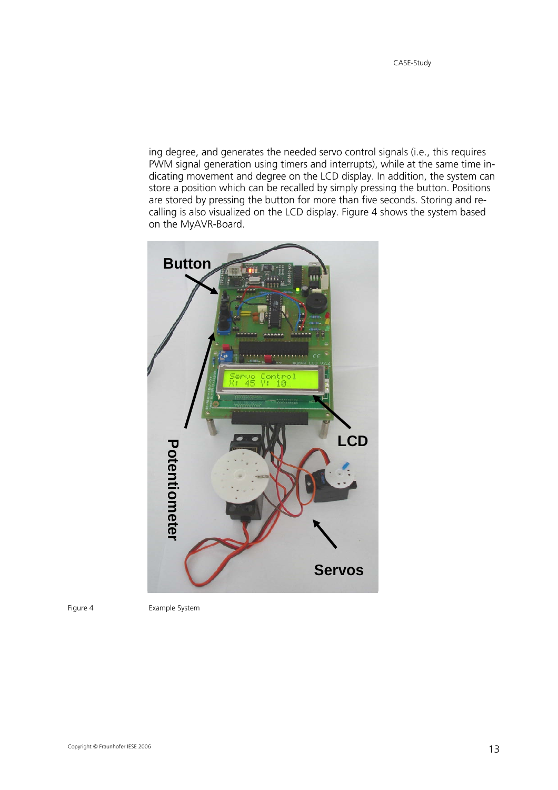ing degree, and generates the needed servo control signals (i.e., this requires PWM signal generation using timers and interrupts), while at the same time indicating movement and degree on the LCD display. In addition, the system can store a position which can be recalled by simply pressing the button. Positions are stored by pressing the button for more than five seconds. Storing and recalling is also visualized on the LCD display. Figure 4 shows the system based on the MyAVR-Board.





Figure 4 Example System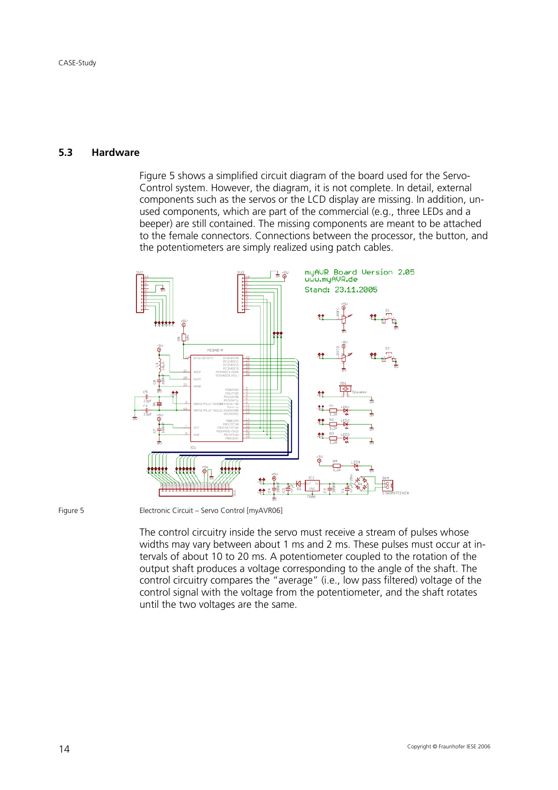### **5.3 Hardware**

Figure 5 shows a simplified circuit diagram of the board used for the Servo-Control system. However, the diagram, it is not complete. In detail, external components such as the servos or the LCD display are missing. In addition, unused components, which are part of the commercial (e.g., three LEDs and a beeper) are still contained. The missing components are meant to be attached to the female connectors. Connections between the processor, the button, and the potentiometers are simply realized using patch cables.



Figure 5 Electronic Circuit – Servo Control [myAVR06]

The control circuitry inside the servo must receive a stream of pulses whose widths may vary between about 1 ms and 2 ms. These pulses must occur at intervals of about 10 to 20 ms. A potentiometer coupled to the rotation of the output shaft produces a voltage corresponding to the angle of the shaft. The control circuitry compares the "average" (i.e., low pass filtered) voltage of the control signal with the voltage from the potentiometer, and the shaft rotates until the two voltages are the same.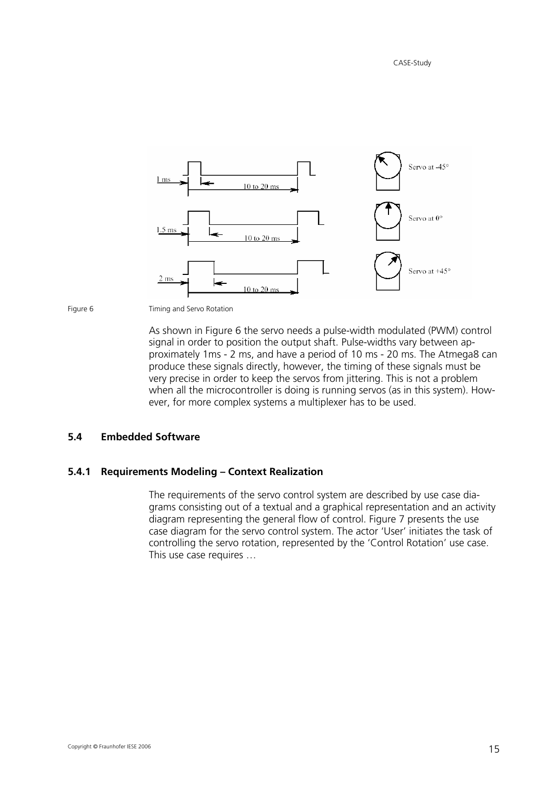



Figure 6 Timing and Servo Rotation

As shown in Figure 6 the servo needs a pulse-width modulated (PWM) control signal in order to position the output shaft. Pulse-widths vary between approximately 1ms - 2 ms, and have a period of 10 ms - 20 ms. The Atmega8 can produce these signals directly, however, the timing of these signals must be very precise in order to keep the servos from jittering. This is not a problem when all the microcontroller is doing is running servos (as in this system). However, for more complex systems a multiplexer has to be used.

### **5.4 Embedded Software**

### **5.4.1 Requirements Modeling – Context Realization**

The requirements of the servo control system are described by use case diagrams consisting out of a textual and a graphical representation and an activity diagram representing the general flow of control. Figure 7 presents the use case diagram for the servo control system. The actor 'User' initiates the task of controlling the servo rotation, represented by the 'Control Rotation' use case. This use case requires …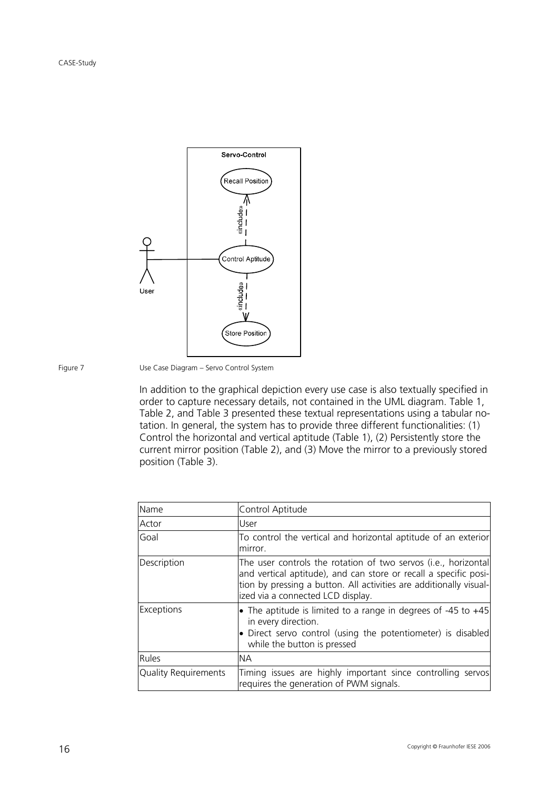



Figure 7 Use Case Diagram – Servo Control System

In addition to the graphical depiction every use case is also textually specified in order to capture necessary details, not contained in the UML diagram. Table 1, Table 2, and Table 3 presented these textual representations using a tabular notation. In general, the system has to provide three different functionalities: (1) Control the horizontal and vertical aptitude (Table 1), (2) Persistently store the current mirror position (Table 2), and (3) Move the mirror to a previously stored position (Table 3).

| Name                 | Control Aptitude                                                                                                                                                                                                                              |
|----------------------|-----------------------------------------------------------------------------------------------------------------------------------------------------------------------------------------------------------------------------------------------|
| Actor                | User                                                                                                                                                                                                                                          |
| Goal                 | To control the vertical and horizontal aptitude of an exterior<br>mirror.                                                                                                                                                                     |
| Description          | The user controls the rotation of two servos (i.e., horizontal<br>and vertical aptitude), and can store or recall a specific posi-<br>tion by pressing a button. All activities are additionally visual-<br>ized via a connected LCD display. |
| Exceptions           | • The aptitude is limited to a range in degrees of -45 to $+45$<br>in every direction.<br>• Direct servo control (using the potentiometer) is disabled<br>while the button is pressed                                                         |
| Rules                | NА                                                                                                                                                                                                                                            |
| Quality Requirements | Timing issues are highly important since controlling servos<br>requires the generation of PWM signals.                                                                                                                                        |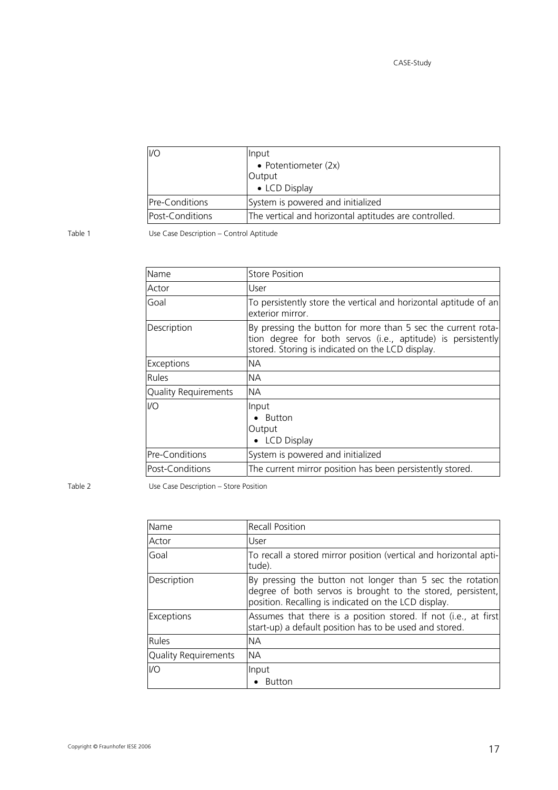| V <sup>O</sup>  | Input<br>• Potentiometer (2x)<br>Output<br>• LCD Display |
|-----------------|----------------------------------------------------------|
| Pre-Conditions  | System is powered and initialized                        |
| Post-Conditions | The vertical and horizontal aptitudes are controlled.    |

Table 1 Use Case Description – Control Aptitude

| Name                        | <b>Store Position</b>                                                                                                                                                            |
|-----------------------------|----------------------------------------------------------------------------------------------------------------------------------------------------------------------------------|
| Actor                       | User                                                                                                                                                                             |
| Goal                        | To persistently store the vertical and horizontal aptitude of an<br>exterior mirror.                                                                                             |
| Description                 | By pressing the button for more than 5 sec the current rota-<br>tion degree for both servos (i.e., aptitude) is persistently<br>stored. Storing is indicated on the LCD display. |
| Exceptions                  | <b>NA</b>                                                                                                                                                                        |
| <b>Rules</b>                | <b>NA</b>                                                                                                                                                                        |
| <b>Quality Requirements</b> | <b>NA</b>                                                                                                                                                                        |
| $IVO$                       | Input<br>Button<br>Output<br>• LCD Display                                                                                                                                       |
| Pre-Conditions              | System is powered and initialized                                                                                                                                                |
| Post-Conditions             | The current mirror position has been persistently stored.                                                                                                                        |
|                             |                                                                                                                                                                                  |

Table 2 Use Case Description – Store Position

| Name                        | <b>Recall Position</b>                                                                                                                                                           |
|-----------------------------|----------------------------------------------------------------------------------------------------------------------------------------------------------------------------------|
| Actor                       | User                                                                                                                                                                             |
| Goal                        | To recall a stored mirror position (vertical and horizontal apti-<br>tude).                                                                                                      |
| Description                 | By pressing the button not longer than 5 sec the rotation<br>degree of both servos is brought to the stored, persistent,<br>position. Recalling is indicated on the LCD display. |
| Exceptions                  | Assumes that there is a position stored. If not (i.e., at first<br>start-up) a default position has to be used and stored.                                                       |
| Rules                       | NА                                                                                                                                                                               |
| <b>Quality Requirements</b> | <b>NA</b>                                                                                                                                                                        |
| I/O                         | Input<br><b>Button</b>                                                                                                                                                           |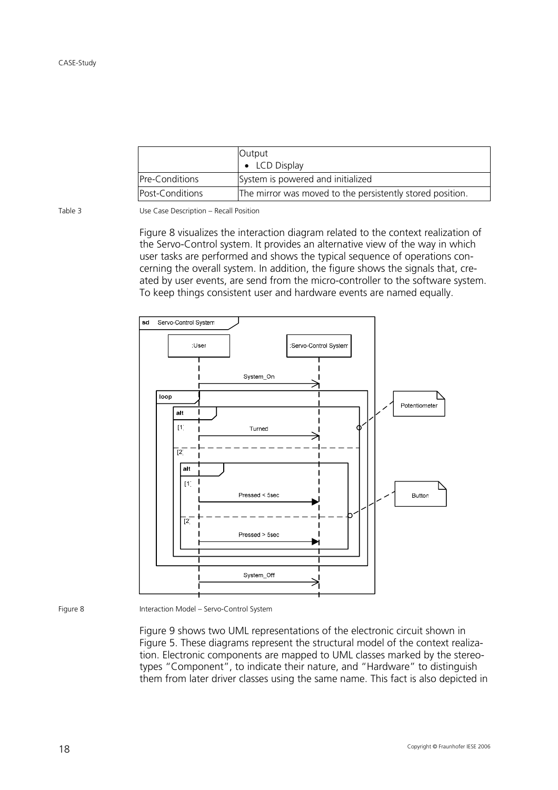|                       | Output<br>• LCD Display                                   |
|-----------------------|-----------------------------------------------------------|
| <b>Pre-Conditions</b> | System is powered and initialized                         |
| Post-Conditions       | The mirror was moved to the persistently stored position. |

Table 3 Use Case Description – Recall Position

Figure 8 visualizes the interaction diagram related to the context realization of the Servo-Control system. It provides an alternative view of the way in which user tasks are performed and shows the typical sequence of operations concerning the overall system. In addition, the figure shows the signals that, created by user events, are send from the micro-controller to the software system. To keep things consistent user and hardware events are named equally.



Figure 8 **Interaction Model – Servo-Control System** 

Figure 9 shows two UML representations of the electronic circuit shown in Figure 5. These diagrams represent the structural model of the context realization. Electronic components are mapped to UML classes marked by the stereotypes "Component", to indicate their nature, and "Hardware" to distinguish them from later driver classes using the same name. This fact is also depicted in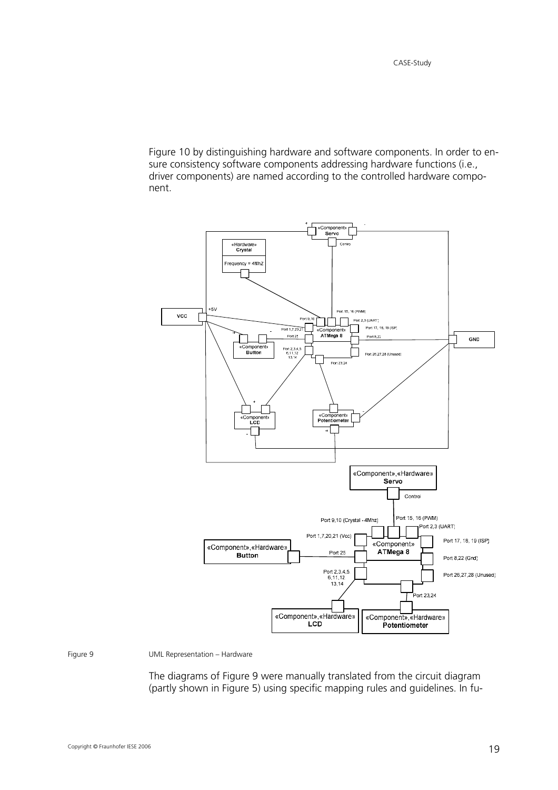Figure 10 by distinguishing hardware and software components. In order to ensure consistency software components addressing hardware functions (i.e., driver components) are named according to the controlled hardware component.



Figure 9 UML Representation – Hardware

The diagrams of Figure 9 were manually translated from the circuit diagram (partly shown in Figure 5) using specific mapping rules and guidelines. In fu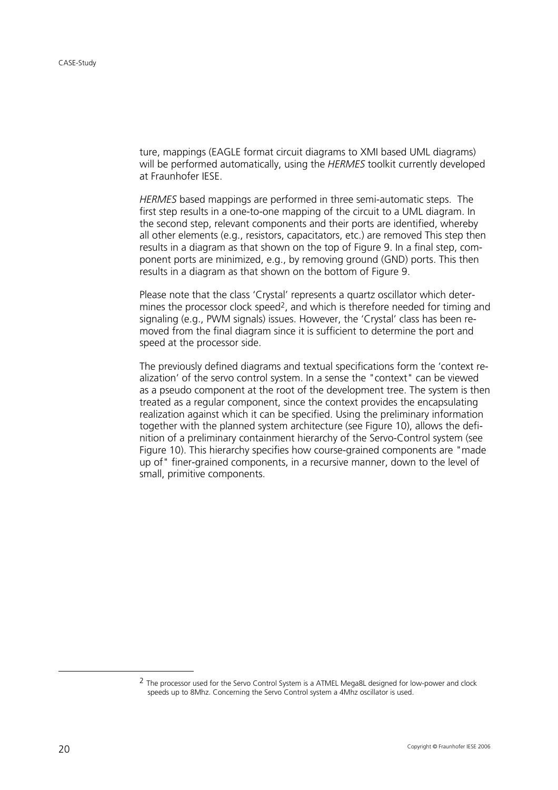ture, mappings (EAGLE format circuit diagrams to XMI based UML diagrams) will be performed automatically, using the *HERMES* toolkit currently developed at Fraunhofer IESE.

*HERMES* based mappings are performed in three semi-automatic steps. The first step results in a one-to-one mapping of the circuit to a UML diagram. In the second step, relevant components and their ports are identified, whereby all other elements (e.g., resistors, capacitators, etc.) are removed This step then results in a diagram as that shown on the top of Figure 9. In a final step, component ports are minimized, e.g., by removing ground (GND) ports. This then results in a diagram as that shown on the bottom of Figure 9.

Please note that the class 'Crystal' represents a quartz oscillator which determines the processor clock speed<sup>2</sup>, and which is therefore needed for timing and signaling (e.g., PWM signals) issues. However, the 'Crystal' class has been removed from the final diagram since it is sufficient to determine the port and speed at the processor side.

The previously defined diagrams and textual specifications form the 'context realization' of the servo control system. In a sense the "context" can be viewed as a pseudo component at the root of the development tree. The system is then treated as a regular component, since the context provides the encapsulating realization against which it can be specified. Using the preliminary information together with the planned system architecture (see Figure 10), allows the definition of a preliminary containment hierarchy of the Servo-Control system (see Figure 10). This hierarchy specifies how course-grained components are "made up of" finer-grained components, in a recursive manner, down to the level of small, primitive components.

 <sup>2</sup> The processor used for the Servo Control System is a ATMEL Mega8L designed for low-power and clock speeds up to 8Mhz. Concerning the Servo Control system a 4Mhz oscillator is used.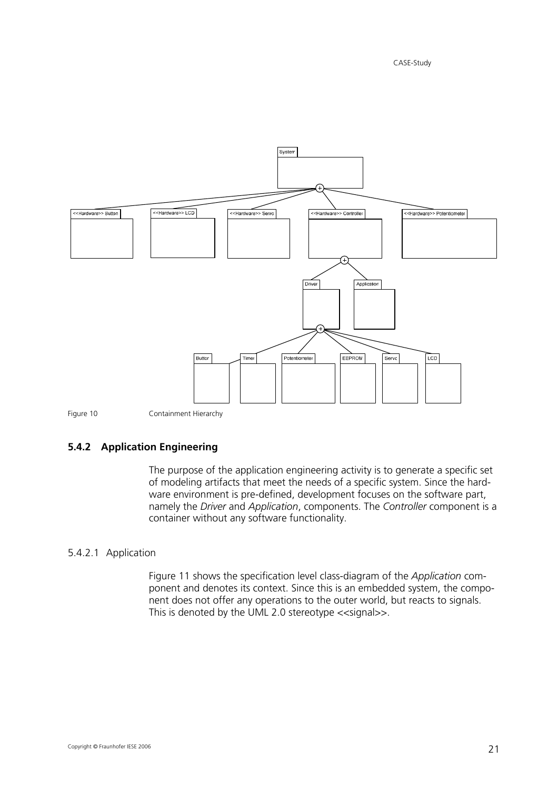CASE-Study



### **5.4.2 Application Engineering**

The purpose of the application engineering activity is to generate a specific set of modeling artifacts that meet the needs of a specific system. Since the hardware environment is pre-defined, development focuses on the software part, namely the *Driver* and *Application*, components. The *Controller* component is a container without any software functionality.

### 5.4.2.1 Application

Figure 11 shows the specification level class-diagram of the *Application* component and denotes its context. Since this is an embedded system, the component does not offer any operations to the outer world, but reacts to signals. This is denoted by the UML 2.0 stereotype  $\lt$  signal>>.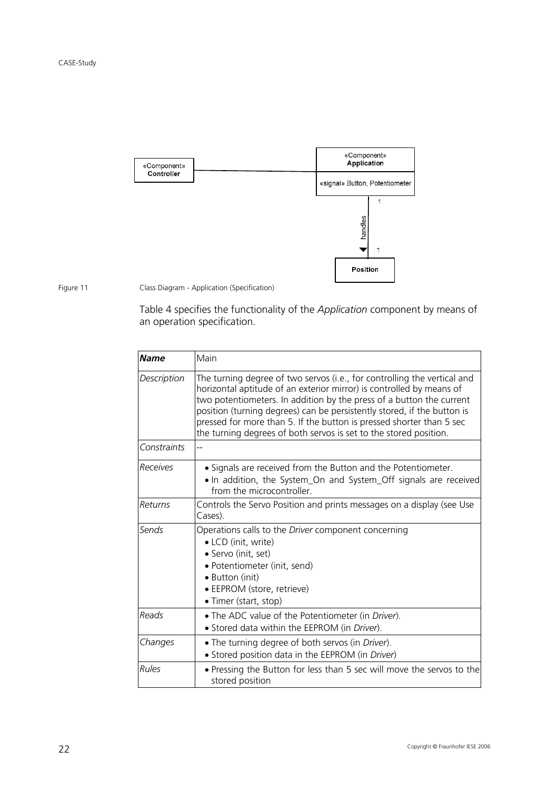

Figure 11 Class Diagram - Application (Specification)

Table 4 specifies the functionality of the *Application* component by means of an operation specification.

| <b>Name</b> | Main                                                                                                                                                                                                                                                                                                                                                                                                                                             |  |
|-------------|--------------------------------------------------------------------------------------------------------------------------------------------------------------------------------------------------------------------------------------------------------------------------------------------------------------------------------------------------------------------------------------------------------------------------------------------------|--|
| Description | The turning degree of two servos (i.e., for controlling the vertical and<br>horizontal aptitude of an exterior mirror) is controlled by means of<br>two potentiometers. In addition by the press of a button the current<br>position (turning degrees) can be persistently stored, if the button is<br>pressed for more than 5. If the button is pressed shorter than 5 sec<br>the turning degrees of both servos is set to the stored position. |  |
| Constraints |                                                                                                                                                                                                                                                                                                                                                                                                                                                  |  |
| Receives    | · Signals are received from the Button and the Potentiometer.<br>. In addition, the System_On and System_Off signals are received<br>from the microcontroller.                                                                                                                                                                                                                                                                                   |  |
| Returns     | Controls the Servo Position and prints messages on a display (see Use<br>Cases).                                                                                                                                                                                                                                                                                                                                                                 |  |
| Sends       | Operations calls to the Driver component concerning<br>• LCD (init, write)<br>• Servo (init, set)<br>• Potentiometer (init, send)<br>• Button (init)<br>• EEPROM (store, retrieve)<br>• Timer (start, stop)                                                                                                                                                                                                                                      |  |
| Reads       | • The ADC value of the Potentiometer (in Driver).<br>• Stored data within the EEPROM (in Driver).                                                                                                                                                                                                                                                                                                                                                |  |
| Changes     | • The turning degree of both servos (in <i>Driver</i> ).<br>• Stored position data in the EEPROM (in Driver)                                                                                                                                                                                                                                                                                                                                     |  |
| Rules       | . Pressing the Button for less than 5 sec will move the servos to the<br>stored position                                                                                                                                                                                                                                                                                                                                                         |  |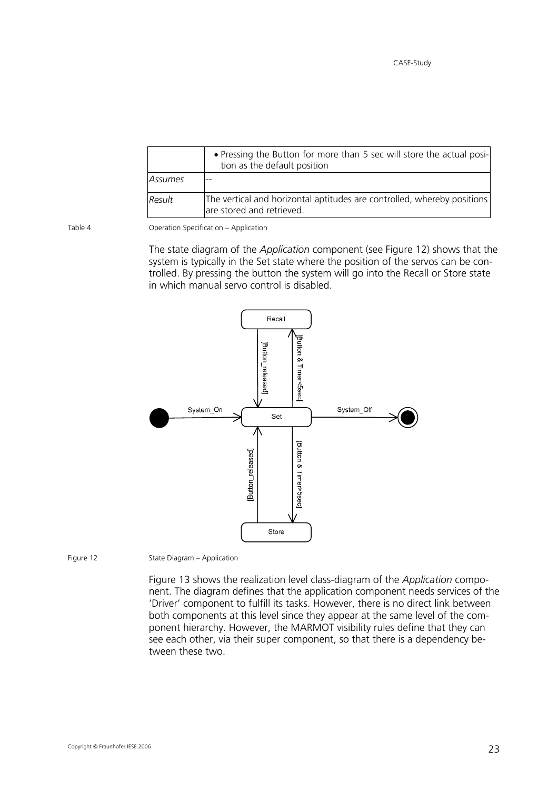|         | • Pressing the Button for more than 5 sec will store the actual posi-<br>tion as the default position |
|---------|-------------------------------------------------------------------------------------------------------|
| Assumes |                                                                                                       |
| Result  | The vertical and horizontal aptitudes are controlled, whereby positions<br>are stored and retrieved.  |

Table 4 Operation Specification – Application

The state diagram of the *Application* component (see Figure 12) shows that the system is typically in the Set state where the position of the servos can be controlled. By pressing the button the system will go into the Recall or Store state in which manual servo control is disabled.



Figure 12 State Diagram – Application

Figure 13 shows the realization level class-diagram of the *Application* component. The diagram defines that the application component needs services of the 'Driver' component to fulfill its tasks. However, there is no direct link between both components at this level since they appear at the same level of the component hierarchy. However, the MARMOT visibility rules define that they can see each other, via their super component, so that there is a dependency between these two.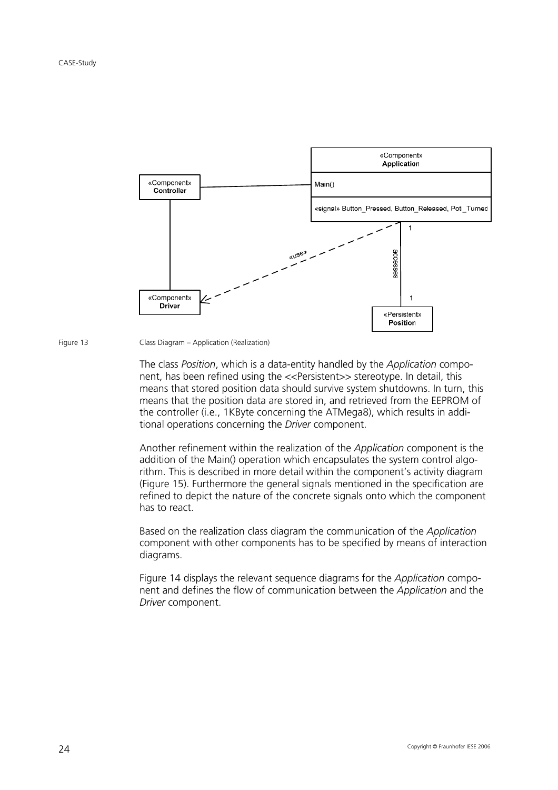



Figure 13 Class Diagram – Application (Realization)

The class *Position*, which is a data-entity handled by the *Application* component, has been refined using the <<Persistent>> stereotype. In detail, this means that stored position data should survive system shutdowns. In turn, this means that the position data are stored in, and retrieved from the EEPROM of the controller (i.e., 1KByte concerning the ATMega8), which results in additional operations concerning the *Driver* component.

Another refinement within the realization of the *Application* component is the addition of the Main() operation which encapsulates the system control algorithm. This is described in more detail within the component's activity diagram (Figure 15). Furthermore the general signals mentioned in the specification are refined to depict the nature of the concrete signals onto which the component has to react.

Based on the realization class diagram the communication of the *Application*  component with other components has to be specified by means of interaction diagrams.

Figure 14 displays the relevant sequence diagrams for the *Application* component and defines the flow of communication between the *Application* and the *Driver* component.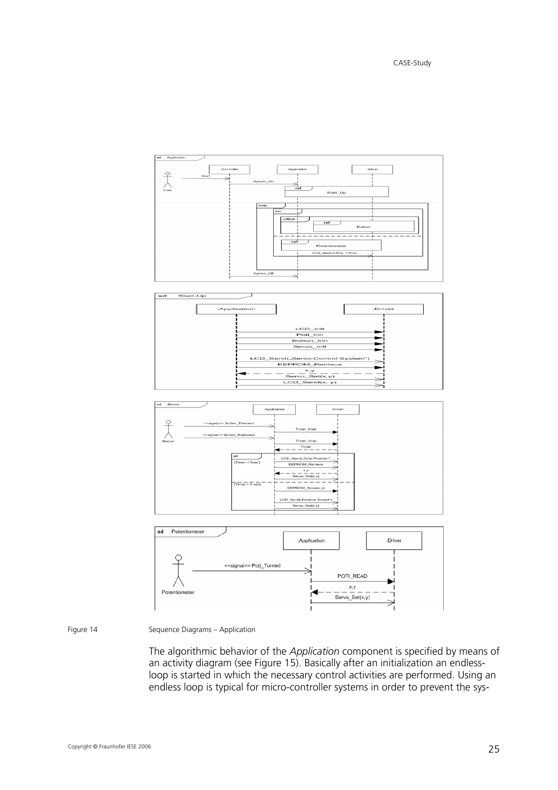

Figure 14 **Sequence Diagrams – Application** 

The algorithmic behavior of the *Application* component is specified by means of an activity diagram (see Figure 15). Basically after an initialization an endlessloop is started in which the necessary control activities are performed. Using an endless loop is typical for micro-controller systems in order to prevent the sys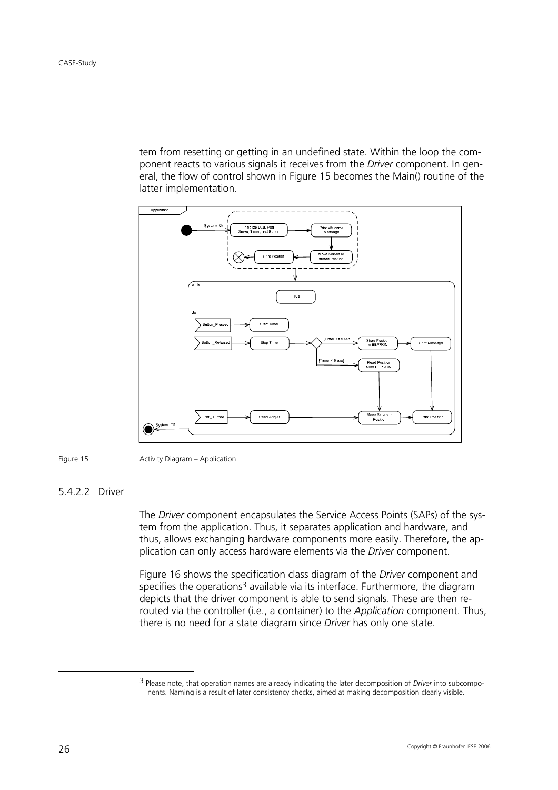tem from resetting or getting in an undefined state. Within the loop the component reacts to various signals it receives from the *Driver* component. In general, the flow of control shown in Figure 15 becomes the Main() routine of the latter implementation.





### 5.4.2.2 Driver

The *Driver* component encapsulates the Service Access Points (SAPs) of the system from the application. Thus, it separates application and hardware, and thus, allows exchanging hardware components more easily. Therefore, the application can only access hardware elements via the *Driver* component.

Figure 16 shows the specification class diagram of the *Driver* component and specifies the operations<sup>3</sup> available via its interface. Furthermore, the diagram depicts that the driver component is able to send signals. These are then rerouted via the controller (i.e., a container) to the *Application* component. Thus, there is no need for a state diagram since *Driver* has only one state.

 <sup>3</sup> Please note, that operation names are already indicating the later decomposition of *Driver* into subcomponents. Naming is a result of later consistency checks, aimed at making decomposition clearly visible.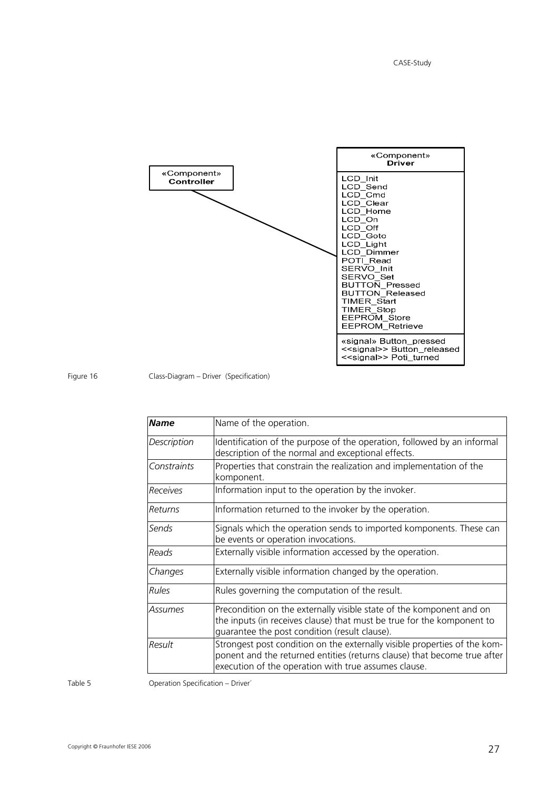



### Figure 16 Class-Diagram – Driver (Specification)

| <b>Name</b> | Name of the operation.                                                                                                                                                                                        |
|-------------|---------------------------------------------------------------------------------------------------------------------------------------------------------------------------------------------------------------|
| Description | Identification of the purpose of the operation, followed by an informal<br>description of the normal and exceptional effects.                                                                                 |
| Constraints | Properties that constrain the realization and implementation of the<br>komponent.                                                                                                                             |
| Receives    | Information input to the operation by the invoker.                                                                                                                                                            |
| Returns     | Information returned to the invoker by the operation.                                                                                                                                                         |
| Sends       | Signals which the operation sends to imported komponents. These can<br>be events or operation invocations.                                                                                                    |
| Reads       | Externally visible information accessed by the operation.                                                                                                                                                     |
| Changes     | Externally visible information changed by the operation.                                                                                                                                                      |
| Rules       | Rules governing the computation of the result.                                                                                                                                                                |
| Assumes     | Precondition on the externally visible state of the komponent and on<br>the inputs (in receives clause) that must be true for the komponent to<br>guarantee the post condition (result clause).               |
| Result      | Strongest post condition on the externally visible properties of the kom-<br>ponent and the returned entities (returns clause) that become true after<br>execution of the operation with true assumes clause. |

Table 5 Operation Specification – Driver´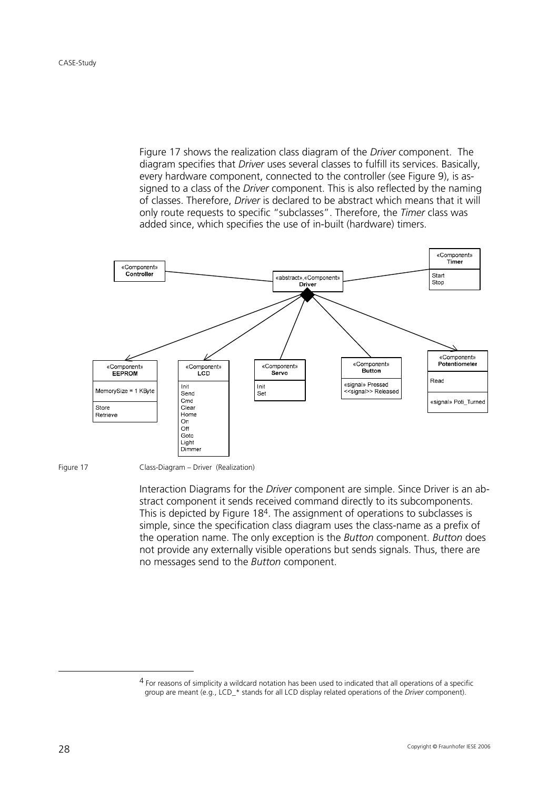Figure 17 shows the realization class diagram of the *Driver* component. The diagram specifies that *Driver* uses several classes to fulfill its services. Basically, every hardware component, connected to the controller (see Figure 9), is assigned to a class of the *Driver* component. This is also reflected by the naming of classes. Therefore, *Driver* is declared to be abstract which means that it will only route requests to specific "subclasses". Therefore, the *Timer* class was added since, which specifies the use of in-built (hardware) timers.



Figure 17 Class-Diagram – Driver (Realization)

Interaction Diagrams for the *Driver* component are simple. Since Driver is an abstract component it sends received command directly to its subcomponents. This is depicted by Figure 184. The assignment of operations to subclasses is simple, since the specification class diagram uses the class-name as a prefix of the operation name. The only exception is the *Button* component. *Button* does not provide any externally visible operations but sends signals. Thus, there are no messages send to the *Button* component.

<sup>&</sup>lt;sup>4</sup> For reasons of simplicity a wildcard notation has been used to indicated that all operations of a specific group are meant (e.g., LCD\_\* stands for all LCD display related operations of the *Driver* component).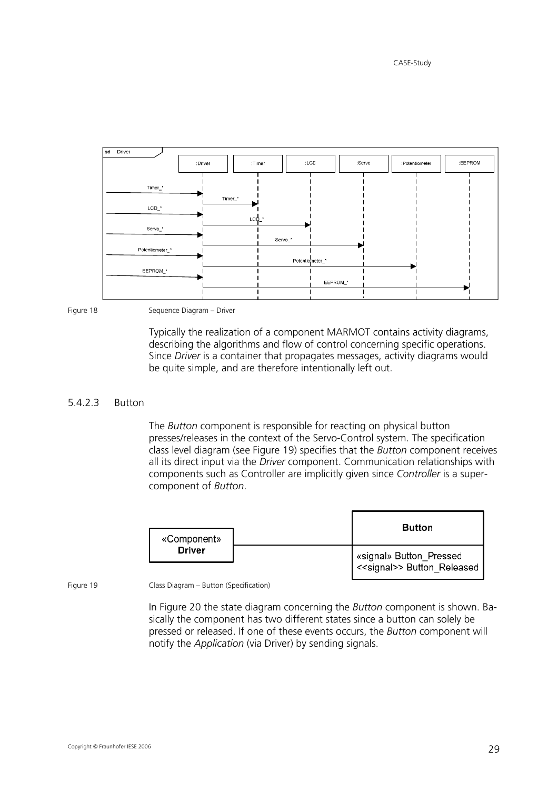



Figure 18 Sequence Diagram – Driver

Typically the realization of a component MARMOT contains activity diagrams, describing the algorithms and flow of control concerning specific operations. Since *Driver* is a container that propagates messages, activity diagrams would be quite simple, and are therefore intentionally left out.

### 5.4.2.3 Button

The *Button* component is responsible for reacting on physical button presses/releases in the context of the Servo-Control system. The specification class level diagram (see Figure 19) specifies that the *Button* component receives all its direct input via the *Driver* component. Communication relationships with components such as Controller are implicitly given since *Controller* is a supercomponent of *Button*.

| «Component»<br><b>Driver</b> | <b>Button</b>                                                        |
|------------------------------|----------------------------------------------------------------------|
|                              | «signal» Button_Pressed<br>< <signal>&gt; Button Released  </signal> |

Figure 19 Class Diagram – Button (Specification)

In Figure 20 the state diagram concerning the *Button* component is shown. Basically the component has two different states since a button can solely be pressed or released. If one of these events occurs, the *Button* component will notify the *Application* (via Driver) by sending signals.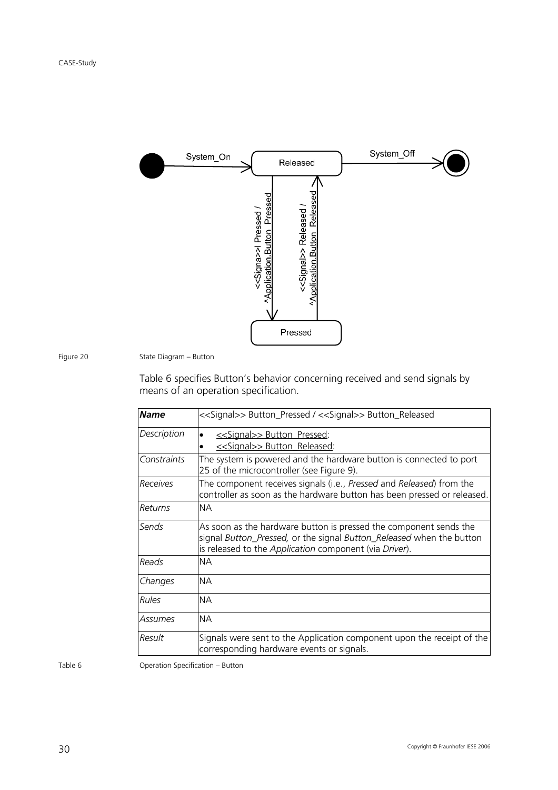



Figure 20 State Diagram – Button

Table 6 specifies Button's behavior concerning received and send signals by means of an operation specification.

| Name        | < <signal>&gt; Button_Pressed / &lt;<signal>&gt; Button_Released</signal></signal>                                                                                                                  |
|-------------|-----------------------------------------------------------------------------------------------------------------------------------------------------------------------------------------------------|
| Description | <u>&lt;<signal>&gt; Button Pressed:</signal></u><br>$\bullet$<br>< <signal>&gt; Button Released:<br/>٠</signal>                                                                                     |
| Constraints | The system is powered and the hardware button is connected to port<br>25 of the microcontroller (see Figure 9).                                                                                     |
| Receives    | The component receives signals (i.e., Pressed and Released) from the<br>controller as soon as the hardware button has been pressed or released.                                                     |
| Returns     | NА                                                                                                                                                                                                  |
| Sends       | As soon as the hardware button is pressed the component sends the<br>signal Button_Pressed, or the signal Button_Released when the button<br>is released to the Application component (via Driver). |
| Reads       | NА                                                                                                                                                                                                  |
| Changes     | NА                                                                                                                                                                                                  |
| Rules       | NА                                                                                                                                                                                                  |
| Assumes     | NА                                                                                                                                                                                                  |
| Result      | Signals were sent to the Application component upon the receipt of the<br>corresponding hardware events or signals.                                                                                 |
|             |                                                                                                                                                                                                     |

Table 6 Operation Specification – Button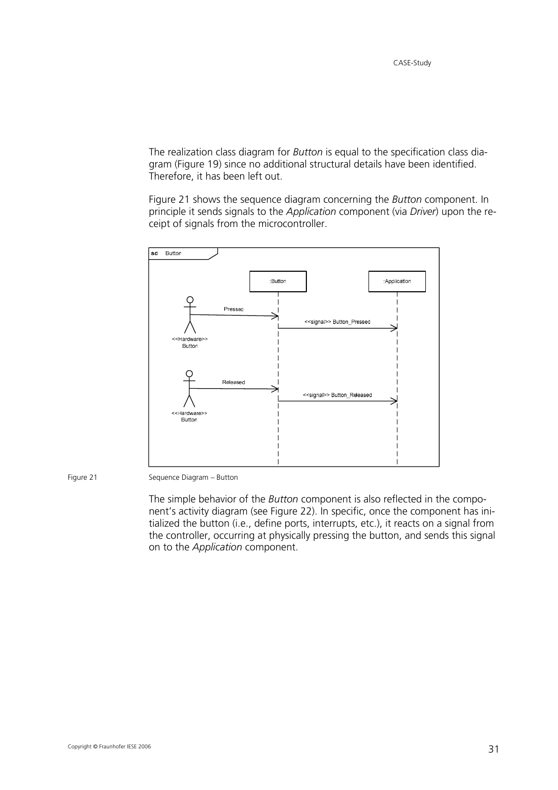The realization class diagram for *Button* is equal to the specification class diagram (Figure 19) since no additional structural details have been identified. Therefore, it has been left out.

Figure 21 shows the sequence diagram concerning the *Button* component. In principle it sends signals to the *Application* component (via *Driver*) upon the receipt of signals from the microcontroller.



Figure 21 Sequence Diagram – Button

The simple behavior of the *Button* component is also reflected in the component's activity diagram (see Figure 22). In specific, once the component has initialized the button (i.e., define ports, interrupts, etc.), it reacts on a signal from the controller, occurring at physically pressing the button, and sends this signal on to the *Application* component.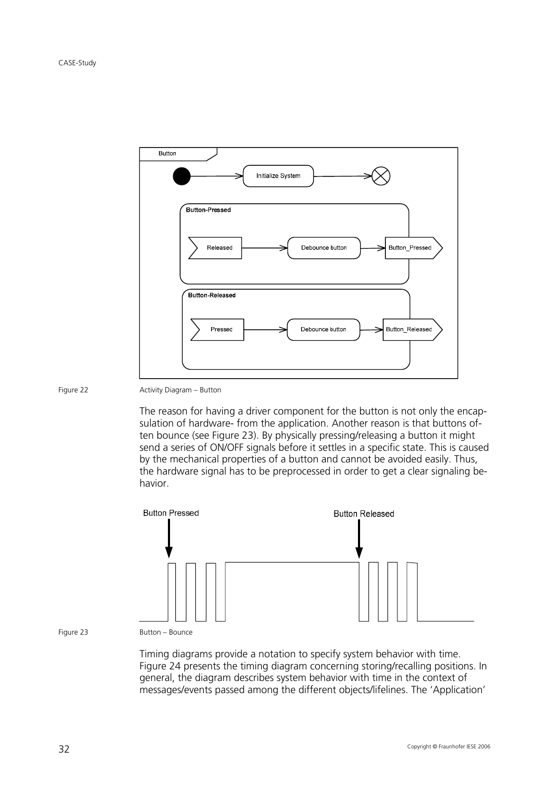



Figure 22 **Activity Diagram – Button** 

The reason for having a driver component for the button is not only the encapsulation of hardware- from the application. Another reason is that buttons often bounce (see Figure 23). By physically pressing/releasing a button it might send a series of ON/OFF signals before it settles in a specific state. This is caused by the mechanical properties of a button and cannot be avoided easily. Thus, the hardware signal has to be preprocessed in order to get a clear signaling behavior.



Timing diagrams provide a notation to specify system behavior with time. Figure 24 presents the timing diagram concerning storing/recalling positions. In general, the diagram describes system behavior with time in the context of messages/events passed among the different objects/lifelines. The 'Application'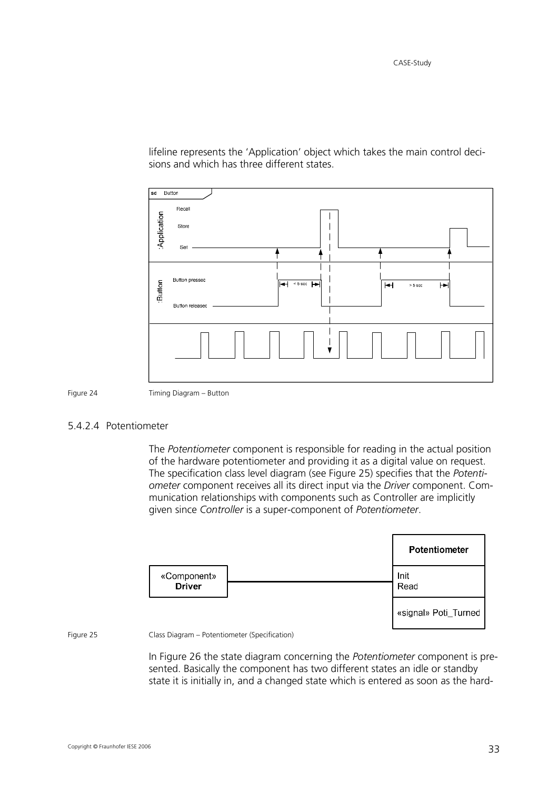

lifeline represents the 'Application' object which takes the main control decisions and which has three different states.

Figure 24 Timing Diagram – Button

### 5.4.2.4 Potentiometer

The *Potentiometer* component is responsible for reading in the actual position of the hardware potentiometer and providing it as a digital value on request. The specification class level diagram (see Figure 25) specifies that the *Potentiometer* component receives all its direct input via the *Driver* component. Communication relationships with components such as Controller are implicitly given since *Controller* is a super-component of *Potentiometer*.



Figure 25 Class Diagram – Potentiometer (Specification)

In Figure 26 the state diagram concerning the *Potentiometer* component is presented. Basically the component has two different states an idle or standby state it is initially in, and a changed state which is entered as soon as the hard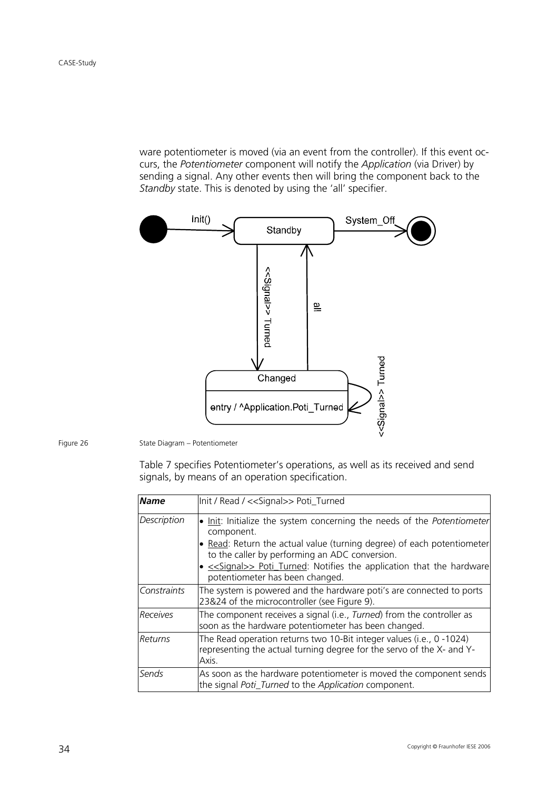ware potentiometer is moved (via an event from the controller). If this event occurs, the *Potentiometer* component will notify the *Application* (via Driver) by sending a signal. Any other events then will bring the component back to the *Standby* state. This is denoted by using the 'all' specifier.



Figure 26 State Diagram – Potentiometer

Table 7 specifies Potentiometer's operations, as well as its received and send signals, by means of an operation specification.

| <b>Name</b> | Init / Read / << Signal>> Poti_Turned                                                                                                                                                                                                                                                                                              |
|-------------|------------------------------------------------------------------------------------------------------------------------------------------------------------------------------------------------------------------------------------------------------------------------------------------------------------------------------------|
| Description | • Init: Initialize the system concerning the needs of the Potentiometer<br>component.<br>• Read: Return the actual value (turning degree) of each potentiometer<br>to the caller by performing an ADC conversion.<br>• << Signal>>>>>>> Poti_Turned: Notifies the application that the hardware<br>potentiometer has been changed. |
| Constraints | The system is powered and the hardware poti's are connected to ports<br>23&24 of the microcontroller (see Figure 9).                                                                                                                                                                                                               |
| Receives    | The component receives a signal (i.e., Turned) from the controller as<br>soon as the hardware potentiometer has been changed.                                                                                                                                                                                                      |
| Returns     | The Read operation returns two 10-Bit integer values (i.e., 0 -1024)<br>representing the actual turning degree for the servo of the X- and Y-<br>Axis.                                                                                                                                                                             |
| Sends       | As soon as the hardware potentiometer is moved the component sends<br>the signal Poti_Turned to the Application component.                                                                                                                                                                                                         |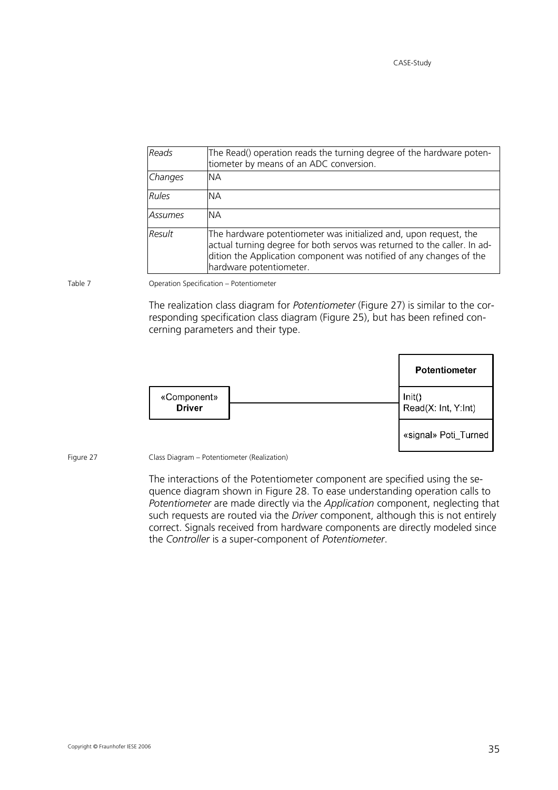| Reads        | The Read() operation reads the turning degree of the hardware poten-<br>tiometer by means of an ADC conversion.                                                                                                                                 |  |  |  |  |
|--------------|-------------------------------------------------------------------------------------------------------------------------------------------------------------------------------------------------------------------------------------------------|--|--|--|--|
| Changes      | NА                                                                                                                                                                                                                                              |  |  |  |  |
| <b>Rules</b> | NА                                                                                                                                                                                                                                              |  |  |  |  |
| Assumes      | NА                                                                                                                                                                                                                                              |  |  |  |  |
| Result       | The hardware potentiometer was initialized and, upon request, the<br>actual turning degree for both servos was returned to the caller. In ad-<br>dition the Application component was notified of any changes of the<br>hardware potentiometer. |  |  |  |  |

Table 7 Operation Specification – Potentiometer

The realization class diagram for *Potentiometer* (Figure 27) is similar to the corresponding specification class diagram (Figure 25), but has been refined concerning parameters and their type.



Figure 27 Class Diagram – Potentiometer (Realization)

The interactions of the Potentiometer component are specified using the sequence diagram shown in Figure 28. To ease understanding operation calls to *Potentiometer* are made directly via the *Application* component, neglecting that such requests are routed via the *Driver* component, although this is not entirely correct. Signals received from hardware components are directly modeled since the *Controller* is a super-component of *Potentiometer*.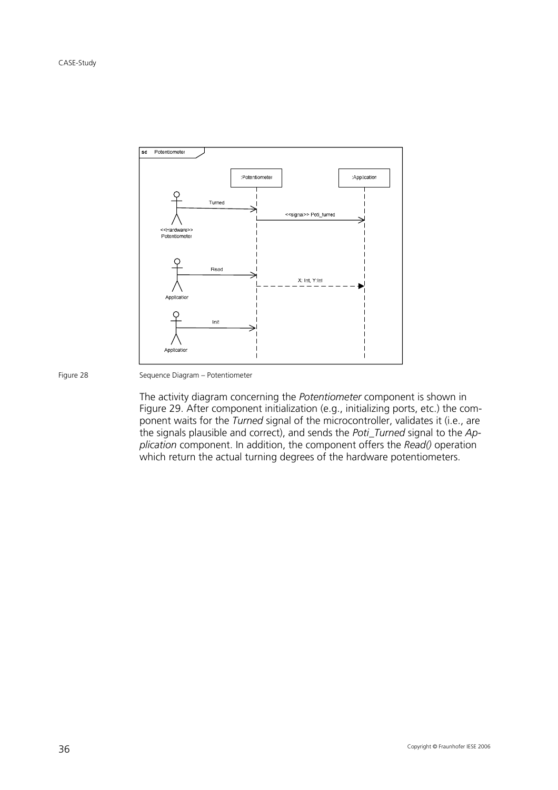

Figure 28 Sequence Diagram – Potentiometer

The activity diagram concerning the *Potentiometer* component is shown in Figure 29. After component initialization (e.g., initializing ports, etc.) the component waits for the *Turned* signal of the microcontroller, validates it (i.e., are the signals plausible and correct), and sends the *Poti\_Turned* signal to the *Application* component. In addition, the component offers the *Read()* operation which return the actual turning degrees of the hardware potentiometers.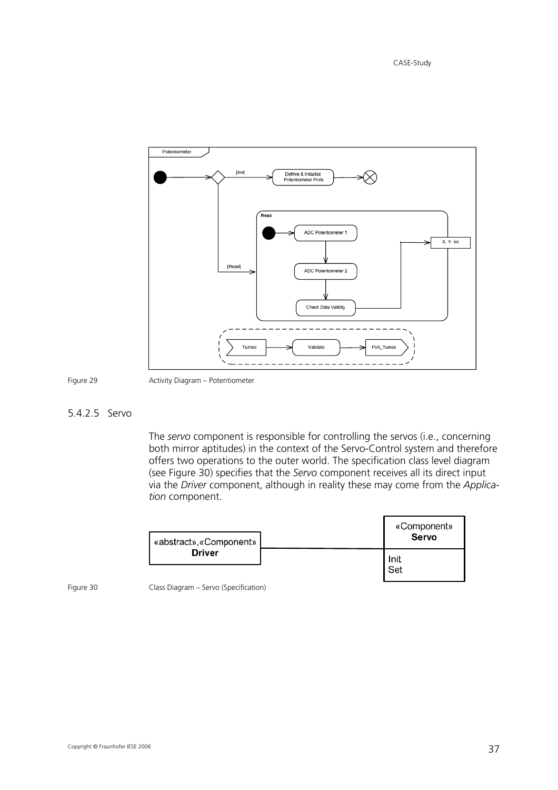



### 5.4.2.5 Servo

The *servo* component is responsible for controlling the servos (i.e., concerning both mirror aptitudes) in the context of the Servo-Control system and therefore offers two operations to the outer world. The specification class level diagram (see Figure 30) specifies that the *Servo* component receives all its direct input via the *Driver* component, although in reality these may come from the *Application* component.



Figure 30 Class Diagram – Servo (Specification)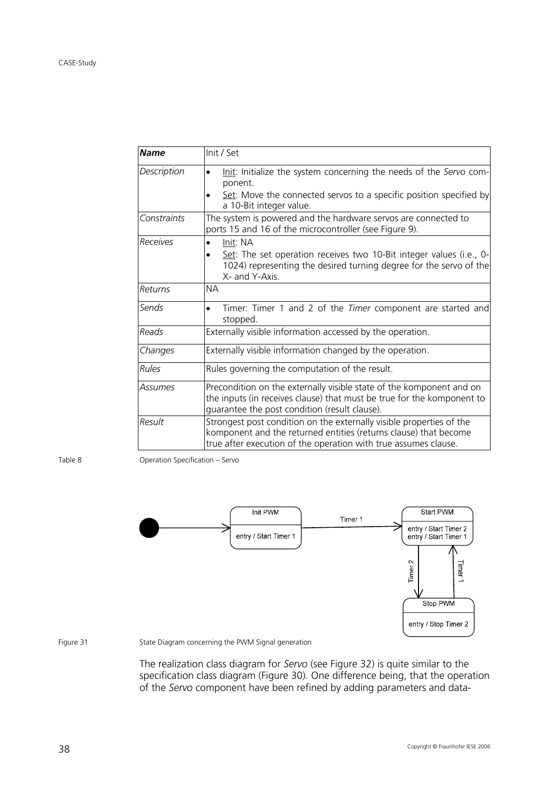| Init / Set<br><b>Name</b> |                                                                                                                                                                                                             |  |  |  |  |
|---------------------------|-------------------------------------------------------------------------------------------------------------------------------------------------------------------------------------------------------------|--|--|--|--|
| Description               | Init: Initialize the system concerning the needs of the Servo com-<br>$\bullet$<br>ponent.<br>Set: Move the connected servos to a specific position specified by<br>a 10-Bit integer value.                 |  |  |  |  |
| Constraints               | The system is powered and the hardware servos are connected to<br>ports 15 and 16 of the microcontroller (see Figure 9).                                                                                    |  |  |  |  |
| Receives                  | Init: NA<br>$\bullet$<br>Set: The set operation receives two 10-Bit integer values (i.e., 0-<br>1024) representing the desired turning degree for the servo of the<br>X- and Y-Axis.                        |  |  |  |  |
| Returns                   | NА                                                                                                                                                                                                          |  |  |  |  |
| Sends                     | Timer: Timer 1 and 2 of the Timer component are started and<br>stopped.                                                                                                                                     |  |  |  |  |
| Reads                     | Externally visible information accessed by the operation.                                                                                                                                                   |  |  |  |  |
| Changes                   | Externally visible information changed by the operation.                                                                                                                                                    |  |  |  |  |
| Rules                     | Rules governing the computation of the result.                                                                                                                                                              |  |  |  |  |
| Assumes                   | Precondition on the externally visible state of the komponent and on<br>the inputs (in receives clause) that must be true for the komponent to<br>quarantee the post condition (result clause).             |  |  |  |  |
| Result                    | Strongest post condition on the externally visible properties of the<br>komponent and the returned entities (returns clause) that become<br>true after execution of the operation with true assumes clause. |  |  |  |  |

Table 8 Operation Specification – Servo



Figure 31 State Diagram concerning the PWM Signal generation

The realization class diagram for *Servo* (see Figure 32) is quite similar to the specification class diagram (Figure 30). One difference being, that the operation of the *Servo* component have been refined by adding parameters and data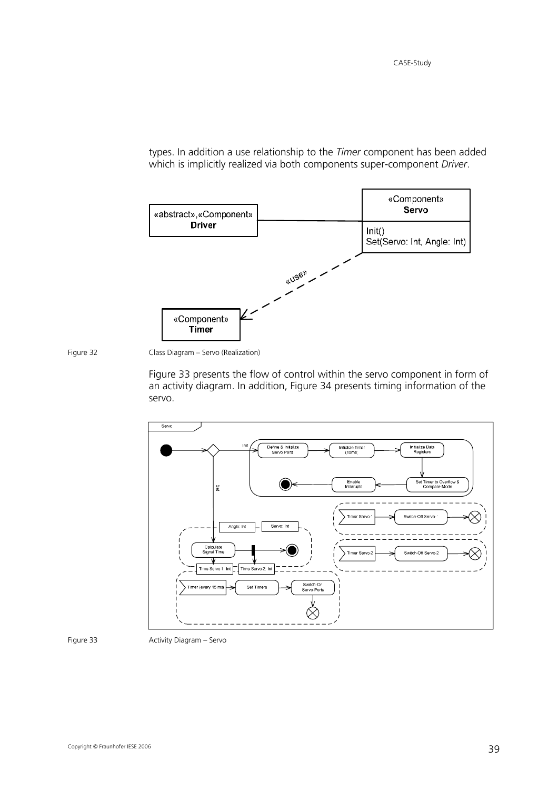types. In addition a use relationship to the *Timer* component has been added which is implicitly realized via both components super-component *Driver*.





Figure 32 Class Diagram – Servo (Realization)

Figure 33 presents the flow of control within the servo component in form of an activity diagram. In addition, Figure 34 presents timing information of the servo.





Figure 33 Activity Diagram – Servo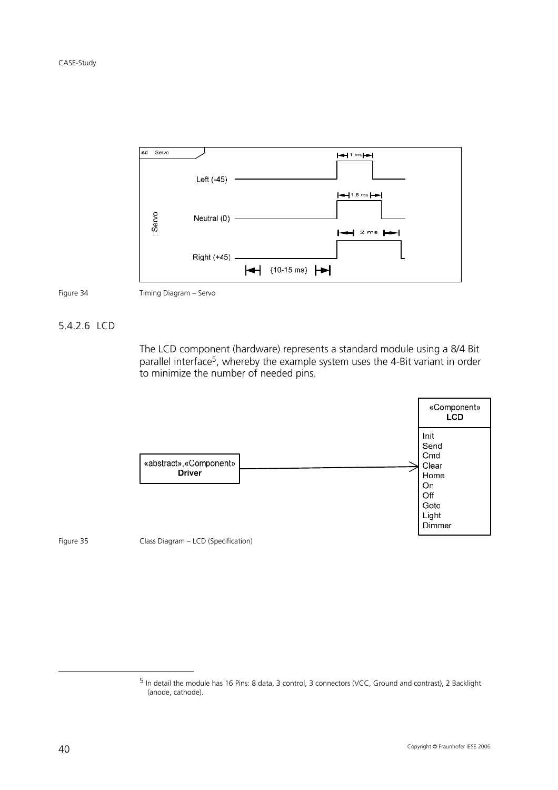



Figure 34 Timing Diagram – Servo

### 5.4.2.6 LCD

The LCD component (hardware) represents a standard module using a 8/4 Bit parallel interface<sup>5</sup>, whereby the example system uses the 4-Bit variant in order to minimize the number of needed pins.



Figure 35 Class Diagram – LCD (Specification)

 <sup>5</sup> In detail the module has 16 Pins: 8 data, 3 control, 3 connectors (VCC, Ground and contrast), 2 Backlight (anode, cathode).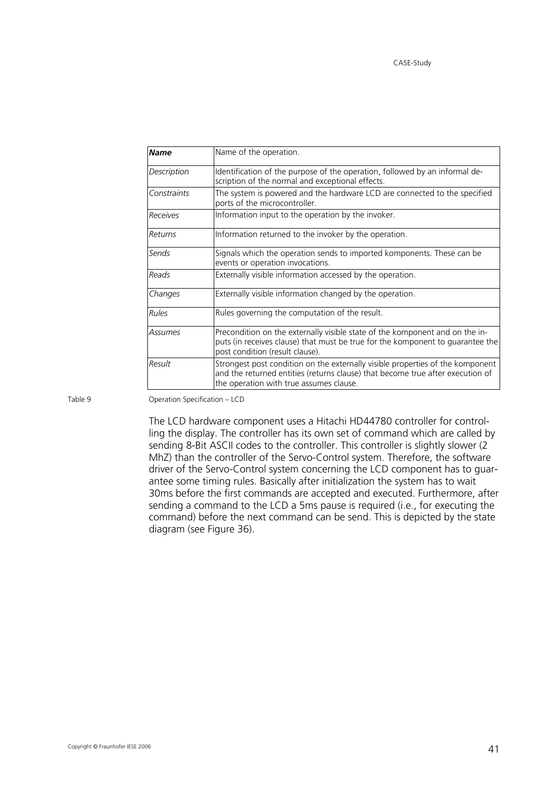| <b>Name</b>    | Name of the operation.                                                                                                                                                                                      |  |  |  |  |
|----------------|-------------------------------------------------------------------------------------------------------------------------------------------------------------------------------------------------------------|--|--|--|--|
| Description    | Identification of the purpose of the operation, followed by an informal de-<br>scription of the normal and exceptional effects.                                                                             |  |  |  |  |
| Constraints    | The system is powered and the hardware LCD are connected to the specified<br>ports of the microcontroller.                                                                                                  |  |  |  |  |
| Receives       | Information input to the operation by the invoker.                                                                                                                                                          |  |  |  |  |
| Returns        | Information returned to the invoker by the operation.                                                                                                                                                       |  |  |  |  |
| Sends          | Signals which the operation sends to imported komponents. These can be<br>events or operation invocations.                                                                                                  |  |  |  |  |
| Reads          | Externally visible information accessed by the operation.                                                                                                                                                   |  |  |  |  |
| Changes        | Externally visible information changed by the operation.                                                                                                                                                    |  |  |  |  |
| <b>Rules</b>   | Rules governing the computation of the result.                                                                                                                                                              |  |  |  |  |
| <b>Assumes</b> | Precondition on the externally visible state of the komponent and on the in-<br>puts (in receives clause) that must be true for the komponent to quarantee the<br>post condition (result clause).           |  |  |  |  |
| Result         | Strongest post condition on the externally visible properties of the komponent<br>and the returned entities (returns clause) that become true after execution of<br>the operation with true assumes clause. |  |  |  |  |

Table 9 Operation Specification – LCD

The LCD hardware component uses a Hitachi HD44780 controller for controlling the display. The controller has its own set of command which are called by sending 8-Bit ASCII codes to the controller. This controller is slightly slower (2 MhZ) than the controller of the Servo-Control system. Therefore, the software driver of the Servo-Control system concerning the LCD component has to guarantee some timing rules. Basically after initialization the system has to wait 30ms before the first commands are accepted and executed. Furthermore, after sending a command to the LCD a 5ms pause is required (i.e., for executing the command) before the next command can be send. This is depicted by the state diagram (see Figure 36).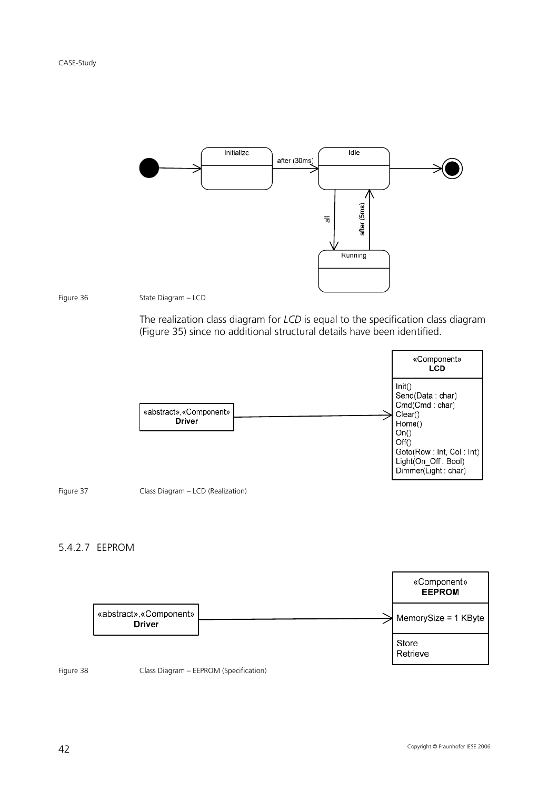



### 5.4.2.7 EEPROM



Figure 38 Class Diagram – EEPROM (Specification)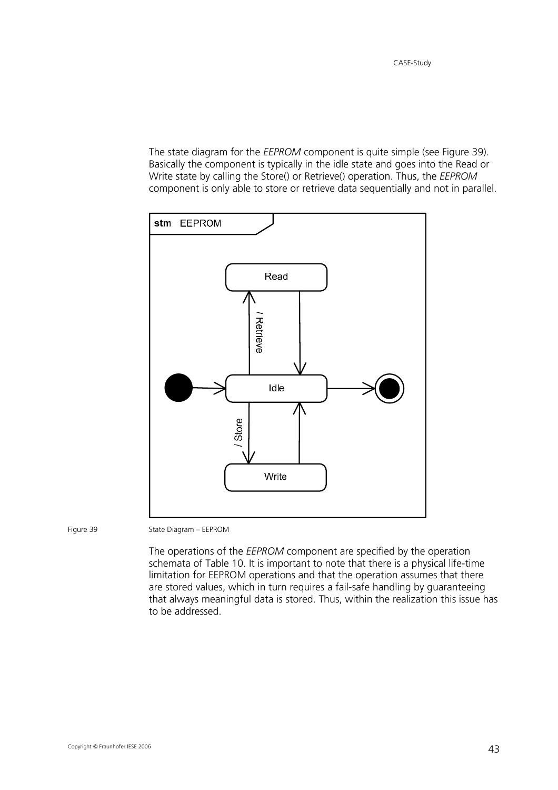The state diagram for the *EEPROM* component is quite simple (see Figure 39). Basically the component is typically in the idle state and goes into the Read or Write state by calling the Store() or Retrieve() operation. Thus, the *EEPROM* component is only able to store or retrieve data sequentially and not in parallel.





Figure 39 State Diagram – EEPROM

The operations of the *EEPROM* component are specified by the operation schemata of Table 10. It is important to note that there is a physical life-time limitation for EEPROM operations and that the operation assumes that there are stored values, which in turn requires a fail-safe handling by guaranteeing that always meaningful data is stored. Thus, within the realization this issue has to be addressed.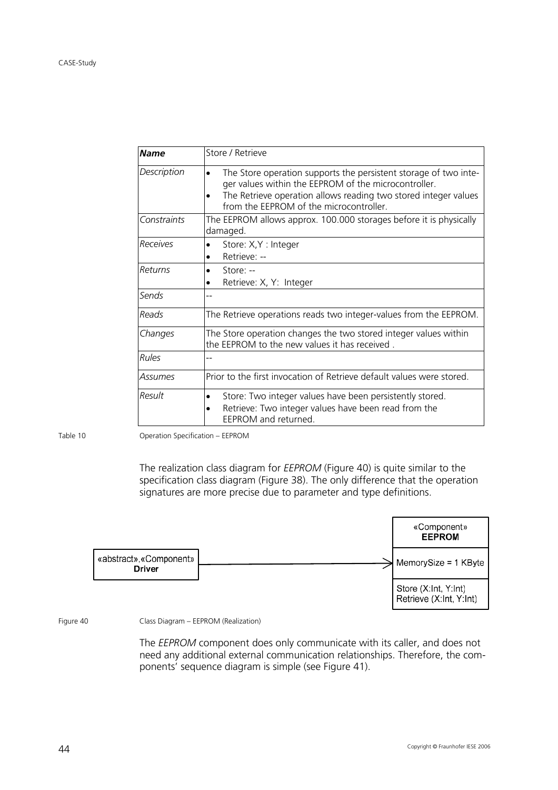| <b>Name</b>     | Store / Retrieve                                                                                                                                                                                                                                    |  |  |  |  |
|-----------------|-----------------------------------------------------------------------------------------------------------------------------------------------------------------------------------------------------------------------------------------------------|--|--|--|--|
| Description     | The Store operation supports the persistent storage of two inte-<br>$\bullet$<br>ger values within the EEPROM of the microcontroller.<br>The Retrieve operation allows reading two stored integer values<br>from the EEPROM of the microcontroller. |  |  |  |  |
| Constraints     | The EEPROM allows approx. 100.000 storages before it is physically<br>damaged.                                                                                                                                                                      |  |  |  |  |
| <b>Receives</b> | Store: X, Y : Integer<br>$\bullet$<br>Retrieve: --<br>$\bullet$                                                                                                                                                                                     |  |  |  |  |
| Returns         | $Store: -$<br>$\bullet$<br>Retrieve: X, Y: Integer                                                                                                                                                                                                  |  |  |  |  |
| Sends           |                                                                                                                                                                                                                                                     |  |  |  |  |
| Reads           | The Retrieve operations reads two integer-values from the EEPROM.                                                                                                                                                                                   |  |  |  |  |
| Changes         | The Store operation changes the two stored integer values within<br>the EEPROM to the new values it has received.                                                                                                                                   |  |  |  |  |
| Rules           | --                                                                                                                                                                                                                                                  |  |  |  |  |
| Assumes         | Prior to the first invocation of Retrieve default values were stored.                                                                                                                                                                               |  |  |  |  |
| Result          | Store: Two integer values have been persistently stored.<br>٠<br>Retrieve: Two integer values have been read from the<br>٠<br>EEPROM and returned.                                                                                                  |  |  |  |  |

Table 10 Operation Specification – EEPROM

The realization class diagram for *EEPROM* (Figure 40) is quite similar to the specification class diagram (Figure 38). The only difference that the operation signatures are more precise due to parameter and type definitions.



Figure 40 Class Diagram – EEPROM (Realization)

The *EEPROM* component does only communicate with its caller, and does not need any additional external communication relationships. Therefore, the components' sequence diagram is simple (see Figure 41).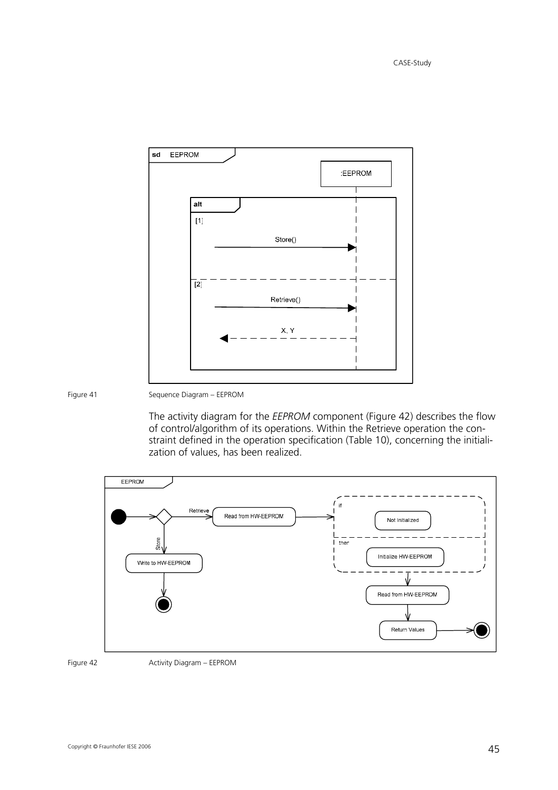

Figure 41 Sequence Diagram – EEPROM

The activity diagram for the *EEPROM* component (Figure 42) describes the flow of control/algorithm of its operations. Within the Retrieve operation the constraint defined in the operation specification (Table 10), concerning the initialization of values, has been realized.





Figure 42 Activity Diagram – EEPROM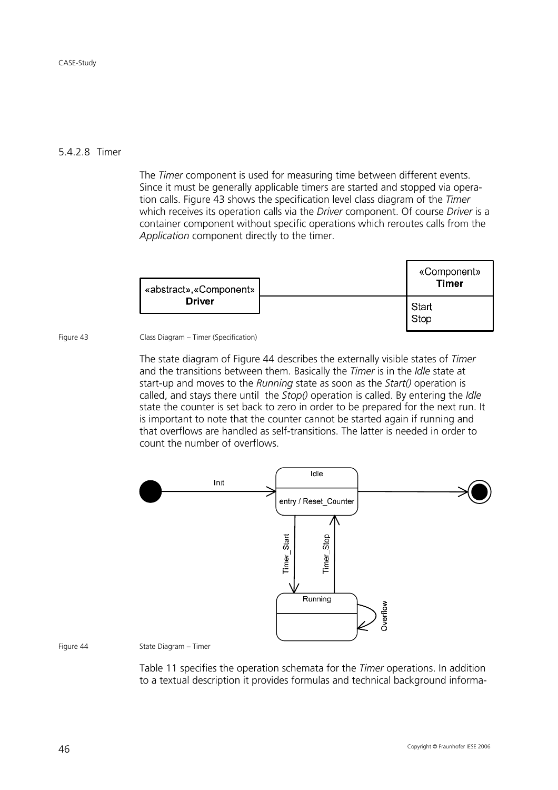### 5.4.2.8 Timer

The *Timer* component is used for measuring time between different events. Since it must be generally applicable timers are started and stopped via operation calls. Figure 43 shows the specification level class diagram of the *Timer* which receives its operation calls via the *Driver* component. Of course *Driver* is a container component without specific operations which reroutes calls from the *Application* component directly to the timer.



Figure 43 Class Diagram – Timer (Specification)

The state diagram of Figure 44 describes the externally visible states of *Timer* and the transitions between them. Basically the *Timer* is in the *Idle* state at start-up and moves to the *Running* state as soon as the *Start()* operation is called, and stays there until the *Stop()* operation is called. By entering the *Idle* state the counter is set back to zero in order to be prepared for the next run. It is important to note that the counter cannot be started again if running and that overflows are handled as self-transitions. The latter is needed in order to count the number of overflows.



Figure 44 State Diagram – Timer

Table 11 specifies the operation schemata for the *Timer* operations. In addition to a textual description it provides formulas and technical background informa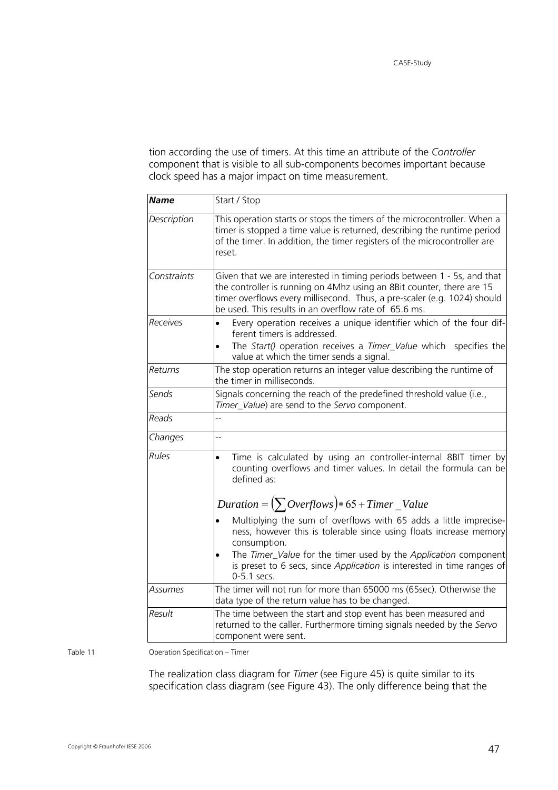tion according the use of timers. At this time an attribute of the *Controller* component that is visible to all sub-components becomes important because clock speed has a major impact on time measurement.

| <b>Name</b>    | Start / Stop                                                                                                                                                                                                                                                                          |  |  |  |  |  |
|----------------|---------------------------------------------------------------------------------------------------------------------------------------------------------------------------------------------------------------------------------------------------------------------------------------|--|--|--|--|--|
| Description    | This operation starts or stops the timers of the microcontroller. When a<br>timer is stopped a time value is returned, describing the runtime period<br>of the timer. In addition, the timer registers of the microcontroller are<br>reset.                                           |  |  |  |  |  |
| Constraints    | Given that we are interested in timing periods between 1 - 5s, and that<br>the controller is running on 4Mhz using an 8Bit counter, there are 15<br>timer overflows every millisecond. Thus, a pre-scaler (e.g. 1024) should<br>be used. This results in an overflow rate of 65.6 ms. |  |  |  |  |  |
| Receives       | Every operation receives a unique identifier which of the four dif-<br>$\bullet$<br>ferent timers is addressed.<br>The Start() operation receives a Timer_Value which specifies the<br>value at which the timer sends a signal.                                                       |  |  |  |  |  |
| Returns        | The stop operation returns an integer value describing the runtime of<br>the timer in milliseconds.                                                                                                                                                                                   |  |  |  |  |  |
| Sends          | Signals concerning the reach of the predefined threshold value (i.e.,<br>Timer_Value) are send to the Servo component.                                                                                                                                                                |  |  |  |  |  |
| Reads          |                                                                                                                                                                                                                                                                                       |  |  |  |  |  |
| Changes        | --                                                                                                                                                                                                                                                                                    |  |  |  |  |  |
| Rules          | Time is calculated by using an controller-internal 8BIT timer by<br>$\bullet$<br>counting overflows and timer values. In detail the formula can be<br>defined as:                                                                                                                     |  |  |  |  |  |
|                | <i>Duration</i> = $(\sum$ <i>Overflows</i> $) * 65 +$ <i>Timer</i> _ <i>Value</i>                                                                                                                                                                                                     |  |  |  |  |  |
|                | Multiplying the sum of overflows with 65 adds a little imprecise-<br>ness, however this is tolerable since using floats increase memory<br>consumption.                                                                                                                               |  |  |  |  |  |
|                | The Timer_Value for the timer used by the Application component<br>is preset to 6 secs, since Application is interested in time ranges of<br>0-5.1 secs.                                                                                                                              |  |  |  |  |  |
| <b>Assumes</b> | The timer will not run for more than 65000 ms (65sec). Otherwise the<br>data type of the return value has to be changed.                                                                                                                                                              |  |  |  |  |  |
| Result         | The time between the start and stop event has been measured and<br>returned to the caller. Furthermore timing signals needed by the Servo<br>component were sent.                                                                                                                     |  |  |  |  |  |

Table 11 Operation Specification – Timer

The realization class diagram for *Timer* (see Figure 45) is quite similar to its specification class diagram (see Figure 43). The only difference being that the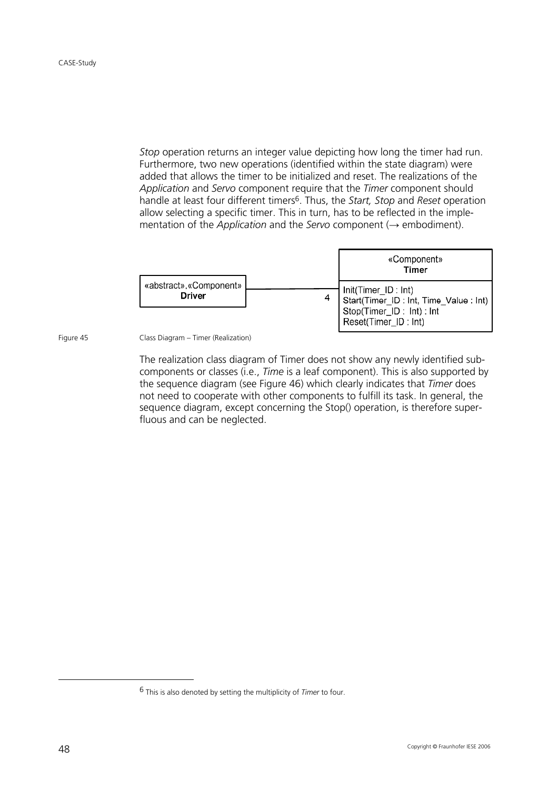*Stop* operation returns an integer value depicting how long the timer had run. Furthermore, two new operations (identified within the state diagram) were added that allows the timer to be initialized and reset. The realizations of the *Application* and *Servo* component require that the *Timer* component should handle at least four different timers6. Thus, the *Start, Stop* and *Reset* operation allow selecting a specific timer. This in turn, has to be reflected in the implementation of the *Application* and the *Servo* component (→ embodiment).

|                                          |   | «Component»<br>Timer                                           |
|------------------------------------------|---|----------------------------------------------------------------|
| «abstract», «Component»<br><b>Driver</b> | 4 | Init(Timer_ID: Int)<br>Start(Timer_ID : Int, Time_Value : Int) |
|                                          |   | Stop(Timer_ID: Int): Int<br>Reset(Timer ID: Int)               |

Figure 45 Class Diagram – Timer (Realization)

The realization class diagram of Timer does not show any newly identified subcomponents or classes (i.e., *Time* is a leaf component). This is also supported by the sequence diagram (see Figure 46) which clearly indicates that *Timer* does not need to cooperate with other components to fulfill its task. In general, the sequence diagram, except concerning the Stop() operation, is therefore superfluous and can be neglected.

 <sup>6</sup> This is also denoted by setting the multiplicity of *Timer* to four.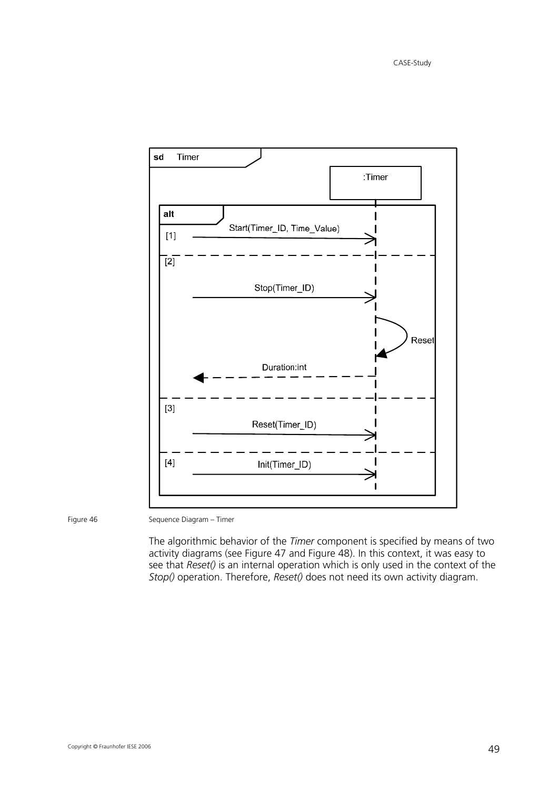

Figure 46 Sequence Diagram – Timer

The algorithmic behavior of the *Timer* component is specified by means of two activity diagrams (see Figure 47 and Figure 48). In this context, it was easy to see that *Reset()* is an internal operation which is only used in the context of the *Stop()* operation. Therefore, *Reset()* does not need its own activity diagram.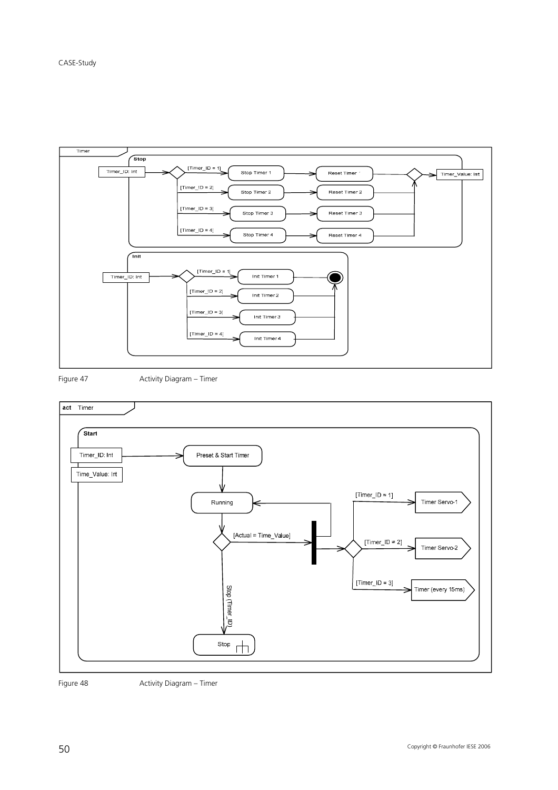



Figure 47 Activity Diagram – Timer



Figure 48 Activity Diagram – Timer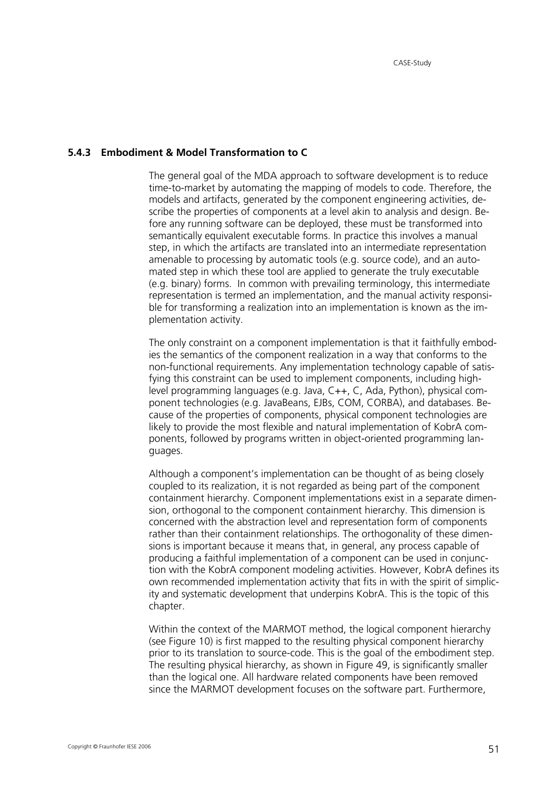### **5.4.3 Embodiment & Model Transformation to C**

The general goal of the MDA approach to software development is to reduce time-to-market by automating the mapping of models to code. Therefore, the models and artifacts, generated by the component engineering activities, describe the properties of components at a level akin to analysis and design. Before any running software can be deployed, these must be transformed into semantically equivalent executable forms. In practice this involves a manual step, in which the artifacts are translated into an intermediate representation amenable to processing by automatic tools (e.g. source code), and an automated step in which these tool are applied to generate the truly executable (e.g. binary) forms. In common with prevailing terminology, this intermediate representation is termed an implementation, and the manual activity responsible for transforming a realization into an implementation is known as the implementation activity.

The only constraint on a component implementation is that it faithfully embodies the semantics of the component realization in a way that conforms to the non-functional requirements. Any implementation technology capable of satisfying this constraint can be used to implement components, including highlevel programming languages (e.g. Java, C++, C, Ada, Python), physical component technologies (e.g. JavaBeans, EJBs, COM, CORBA), and databases. Because of the properties of components, physical component technologies are likely to provide the most flexible and natural implementation of KobrA components, followed by programs written in object-oriented programming languages.

Although a component's implementation can be thought of as being closely coupled to its realization, it is not regarded as being part of the component containment hierarchy. Component implementations exist in a separate dimension, orthogonal to the component containment hierarchy. This dimension is concerned with the abstraction level and representation form of components rather than their containment relationships. The orthogonality of these dimensions is important because it means that, in general, any process capable of producing a faithful implementation of a component can be used in conjunction with the KobrA component modeling activities. However, KobrA defines its own recommended implementation activity that fits in with the spirit of simplicity and systematic development that underpins KobrA. This is the topic of this chapter.

Within the context of the MARMOT method, the logical component hierarchy (see Figure 10) is first mapped to the resulting physical component hierarchy prior to its translation to source-code. This is the goal of the embodiment step. The resulting physical hierarchy, as shown in Figure 49, is significantly smaller than the logical one. All hardware related components have been removed since the MARMOT development focuses on the software part. Furthermore,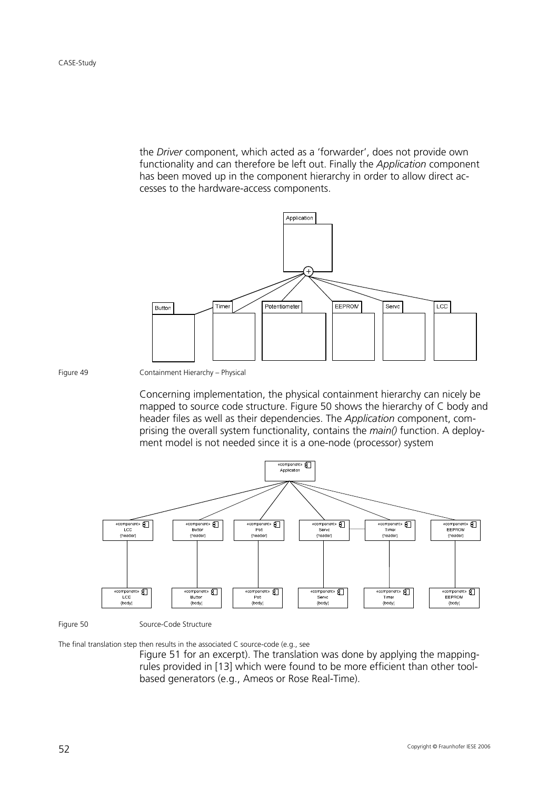the *Driver* component, which acted as a 'forwarder', does not provide own functionality and can therefore be left out. Finally the *Application* component has been moved up in the component hierarchy in order to allow direct accesses to the hardware-access components.





Figure 49 Containment Hierarchy – Physical

Concerning implementation, the physical containment hierarchy can nicely be mapped to source code structure. Figure 50 shows the hierarchy of C body and header files as well as their dependencies. The *Application* component, comprising the overall system functionality, contains the *main()* function. A deployment model is not needed since it is a one-node (processor) system



Figure 50 Source-Code Structure

The final translation step then results in the associated C source-code (e.g., see

Figure 51 for an excerpt). The translation was done by applying the mappingrules provided in [13] which were found to be more efficient than other toolbased generators (e.g., Ameos or Rose Real-Time).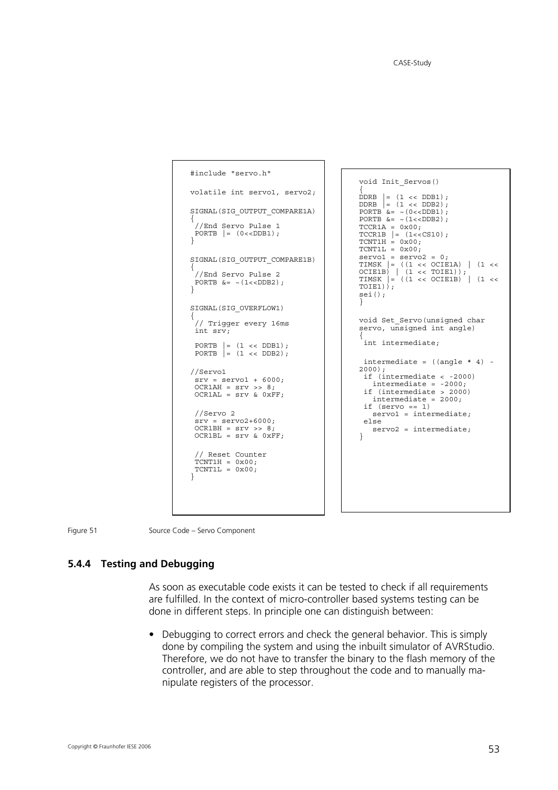```
#include "servo.h" 
volatile int servo1, servo2; 
SIGNAL(SIG_OUTPUT_COMPARE1A)
{ 
   //End Servo Pulse 1 
 PORTB | = (0 < DDB1);} 
SIGNAL(SIG_OUTPUT_COMPARE1B)
{ 
   //End Servo Pulse 2 
 PORTB \&= \sim (1 \times \text{DDB2});
} 
SIGNAL(SIG_OVERFLOW1) 
{ 
   // Trigger every 16ms 
  int srv; 
\begin{array}{lcl} \text{PORTB} & = & (1 & \ltimes & \text{DDB1}); \\ \text{PORTB} & = & (1 & \ltimes & \text{DDB2}); \end{array}//Servo1 
 srv = servol + 6000;OCR1AH = srv >> 8;
 OCR1AL = srv & 0xFF; //Servo 2 
 srv = servo2+6000;
 OCR1BH = srv \gg 8;OCR1BL = srv & 0xFF; // Reset Counter 
 TCNT1H = 0x00:
 TCNT1L = 0x00;} 
                                                         void Init_Servos() 
                                                         { 
DDRB |= (1 << DDB1); 
DDRB |= (1 << DDB2); 
PORTB &= ~(0<<DDB1); 
PORTB &= ~(1<<DDB2); 
                                                         TCCR1A = 0x00; 
TCCR1B |= (1<<CS10); 
                                                         TCNT1H = 0x00;\begin{array}{lcl} {\rm TCNT1L} & = & 0 \times 00 \; ; \end{array}servo1 = servo2 = 0; 
                                                         TIMSK |= ((1 << OCIE1A) | (1 << 
OCIE1B) | (1 << TOIE1)); 
TIMSK |= ((1 << OCIE1B) | (1 << 
                                                         TOIE1)); 
                                                         sei(); 
                                                         } 
                                                         void Set_Servo(unsigned char 
                                                         servo, unsigned int angle) 
                                                         { 
                                                           int intermediate; 
                                                          intermediate = ((angle * 4) -2000); 
                                                           if (intermediate < -2000) 
                                                             intermediate = -2000; if (intermediate > 2000) 
                                                          intermediate = 2000; 
 if (servo == 1) 
 servo1 = intermediate; 
                                                           else 
                                                              servo2 = intermediate; 
                                                         }
```
Figure 51 Source Code – Servo Component

### **5.4.4 Testing and Debugging**

As soon as executable code exists it can be tested to check if all requirements are fulfilled. In the context of micro-controller based systems testing can be done in different steps. In principle one can distinguish between:

• Debugging to correct errors and check the general behavior. This is simply done by compiling the system and using the inbuilt simulator of AVRStudio. Therefore, we do not have to transfer the binary to the flash memory of the controller, and are able to step throughout the code and to manually manipulate registers of the processor.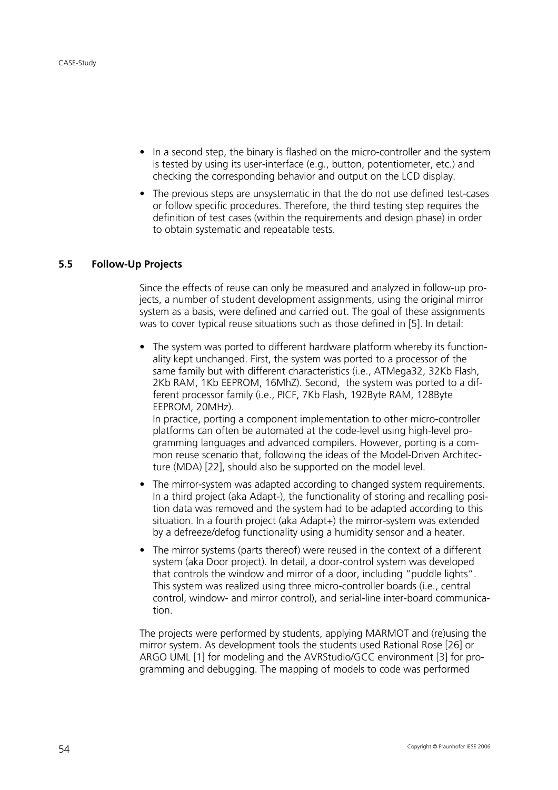- In a second step, the binary is flashed on the micro-controller and the system is tested by using its user-interface (e.g., button, potentiometer, etc.) and checking the corresponding behavior and output on the LCD display.
- The previous steps are unsystematic in that the do not use defined test-cases or follow specific procedures. Therefore, the third testing step requires the definition of test cases (within the requirements and design phase) in order to obtain systematic and repeatable tests.

### **5.5 Follow-Up Projects**

Since the effects of reuse can only be measured and analyzed in follow-up projects, a number of student development assignments, using the original mirror system as a basis, were defined and carried out. The goal of these assignments was to cover typical reuse situations such as those defined in [5]. In detail:

• The system was ported to different hardware platform whereby its functionality kept unchanged. First, the system was ported to a processor of the same family but with different characteristics (i.e., ATMega32, 32Kb Flash, 2Kb RAM, 1Kb EEPROM, 16MhZ). Second, the system was ported to a different processor family (i.e., PICF, 7Kb Flash, 192Byte RAM, 128Byte EEPROM, 20MHz).

In practice, porting a component implementation to other micro-controller platforms can often be automated at the code-level using high-level programming languages and advanced compilers. However, porting is a common reuse scenario that, following the ideas of the Model-Driven Architecture (MDA) [22], should also be supported on the model level.

- The mirror-system was adapted according to changed system requirements. In a third project (aka Adapt-), the functionality of storing and recalling position data was removed and the system had to be adapted according to this situation. In a fourth project (aka Adapt+) the mirror-system was extended by a defreeze/defog functionality using a humidity sensor and a heater.
- The mirror systems (parts thereof) were reused in the context of a different system (aka Door project). In detail, a door-control system was developed that controls the window and mirror of a door, including "puddle lights". This system was realized using three micro-controller boards (i.e., central control, window- and mirror control), and serial-line inter-board communication.

The projects were performed by students, applying MARMOT and (re)using the mirror system. As development tools the students used Rational Rose [26] or ARGO UML [1] for modeling and the AVRStudio/GCC environment [3] for programming and debugging. The mapping of models to code was performed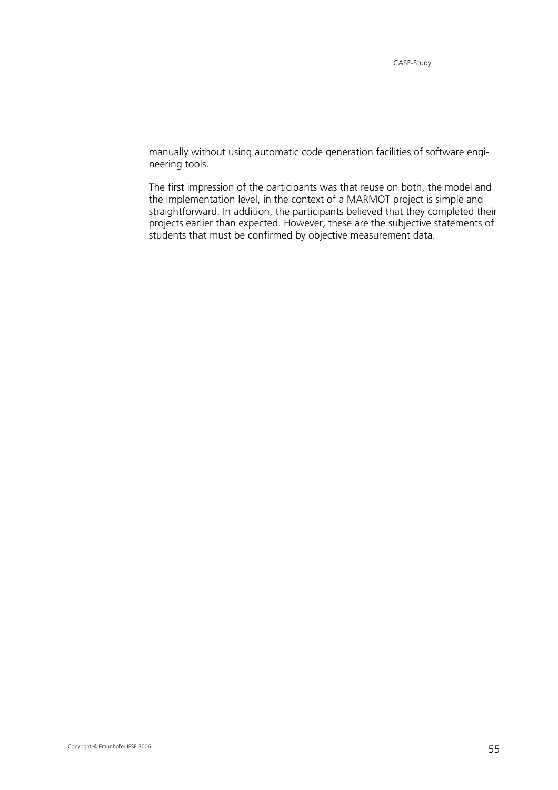manually without using automatic code generation facilities of software engineering tools.

The first impression of the participants was that reuse on both, the model and the implementation level, in the context of a MARMOT project is simple and straightforward. In addition, the participants believed that they completed their projects earlier than expected. However, these are the subjective statements of students that must be confirmed by objective measurement data.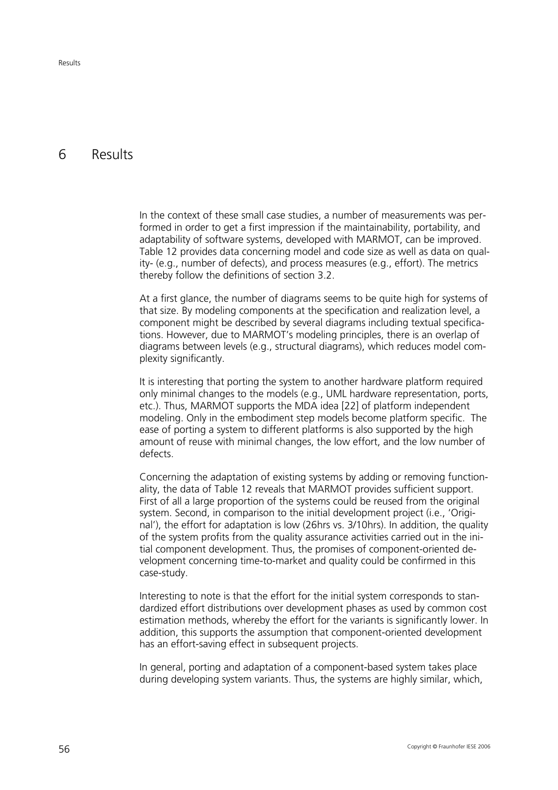## 6 Results

In the context of these small case studies, a number of measurements was performed in order to get a first impression if the maintainability, portability, and adaptability of software systems, developed with MARMOT, can be improved. Table 12 provides data concerning model and code size as well as data on quality- (e.g., number of defects), and process measures (e.g., effort). The metrics thereby follow the definitions of section 3.2.

At a first glance, the number of diagrams seems to be quite high for systems of that size. By modeling components at the specification and realization level, a component might be described by several diagrams including textual specifications. However, due to MARMOT's modeling principles, there is an overlap of diagrams between levels (e.g., structural diagrams), which reduces model complexity significantly.

It is interesting that porting the system to another hardware platform required only minimal changes to the models (e.g., UML hardware representation, ports, etc.). Thus, MARMOT supports the MDA idea [22] of platform independent modeling. Only in the embodiment step models become platform specific. The ease of porting a system to different platforms is also supported by the high amount of reuse with minimal changes, the low effort, and the low number of defects.

Concerning the adaptation of existing systems by adding or removing functionality, the data of Table 12 reveals that MARMOT provides sufficient support. First of all a large proportion of the systems could be reused from the original system. Second, in comparison to the initial development project (i.e., 'Original'), the effort for adaptation is low (26hrs vs. 3/10hrs). In addition, the quality of the system profits from the quality assurance activities carried out in the initial component development. Thus, the promises of component-oriented development concerning time-to-market and quality could be confirmed in this case-study.

Interesting to note is that the effort for the initial system corresponds to standardized effort distributions over development phases as used by common cost estimation methods, whereby the effort for the variants is significantly lower. In addition, this supports the assumption that component-oriented development has an effort-saving effect in subsequent projects.

In general, porting and adaptation of a component-based system takes place during developing system variants. Thus, the systems are highly similar, which,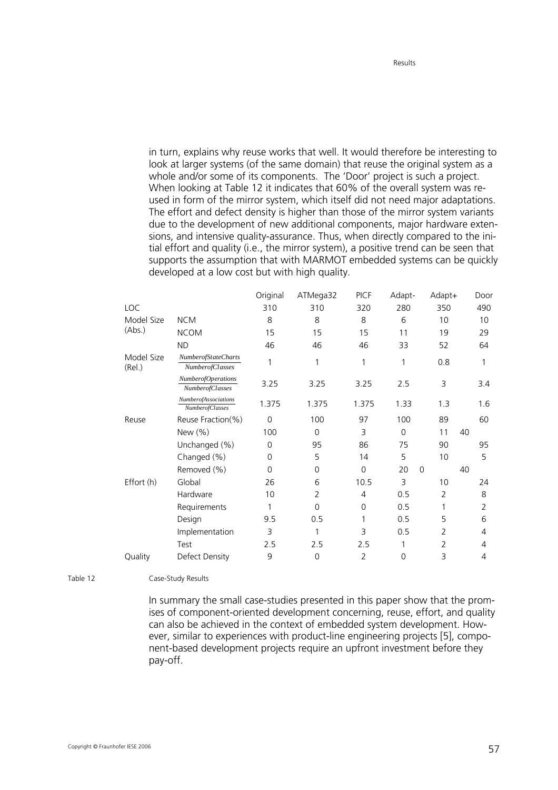in turn, explains why reuse works that well. It would therefore be interesting to look at larger systems (of the same domain) that reuse the original system as a whole and/or some of its components. The 'Door' project is such a project. When looking at Table 12 it indicates that 60% of the overall system was reused in form of the mirror system, which itself did not need major adaptations. The effort and defect density is higher than those of the mirror system variants due to the development of new additional components, major hardware extensions, and intensive quality-assurance. Thus, when directly compared to the initial effort and quality (i.e., the mirror system), a positive trend can be seen that supports the assumption that with MARMOT embedded systems can be quickly developed at a low cost but with high quality.

|                      |                                                | Original       | ATMega32       | <b>PICF</b>    | Adapt-         | Adapt+         | Door           |
|----------------------|------------------------------------------------|----------------|----------------|----------------|----------------|----------------|----------------|
| <b>LOC</b>           |                                                | 310            | 310            | 320            | 280            | 350            | 490            |
| Model Size           | <b>NCM</b>                                     | 8              | 8              | 8              | 6              | 10             | 10             |
| (Abs.)               | <b>NCOM</b>                                    | 15             | 15             | 15             | 11             | 19             | 29             |
|                      | <b>ND</b>                                      | 46             | 46             | 46             | 33             | 52             | 64             |
| Model Size<br>(Rel.) | NumberofStateCharts<br>NumberofClasses         | 1              | 1              | 1              | 1              | 0.8            | 1              |
|                      | <b>NumberofOperations</b><br>NumberofClasses   | 3.25           | 3.25           | 3.25           | 2.5            | 3              | 3.4            |
|                      | <b>NumberofAssociations</b><br>NumberofClasses | 1.375          | 1.375          | 1.375          | 1.33           | 1.3            | 1.6            |
| Reuse                | Reuse Fraction(%)                              | $\overline{0}$ | 100            | 97             | 100            | 89             | 60             |
|                      | New $(\% )$                                    | 100            | $\Omega$       | 3              | $\Omega$       | 11             | 40             |
|                      | Unchanged (%)                                  | $\Omega$       | 95             | 86             | 75             | 90             | 95             |
|                      | Changed (%)                                    | 0              | 5              | 14             | 5              | 10             | 5              |
|                      | Removed (%)                                    | $\Omega$       | $\Omega$       | $\overline{0}$ | 20             | $\overline{0}$ | 40             |
| Effort (h)           | Global                                         | 26             | 6              | 10.5           | 3              | 10             | 24             |
|                      | Hardware                                       | 10             | $\overline{2}$ | 4              | 0.5            | 2              | 8              |
|                      | Requirements                                   |                | $\Omega$       | $\mathbf{0}$   | 0.5            | 1              | $\overline{2}$ |
|                      | Design                                         | 9.5            | 0.5            | 1              | 0.5            | 5              | 6              |
|                      | Implementation                                 | 3              | 1              | 3              | 0.5            | $\overline{2}$ | 4              |
|                      | Test                                           | 2.5            | 2.5            | 2.5            | 1              | $\overline{2}$ | 4              |
| Quality              | Defect Density                                 | 9              | $\overline{0}$ | $\overline{2}$ | $\overline{0}$ | 3              | 4              |

Table 12 Case-Study Results

In summary the small case-studies presented in this paper show that the promises of component-oriented development concerning, reuse, effort, and quality can also be achieved in the context of embedded system development. However, similar to experiences with product-line engineering projects [5], component-based development projects require an upfront investment before they pay-off.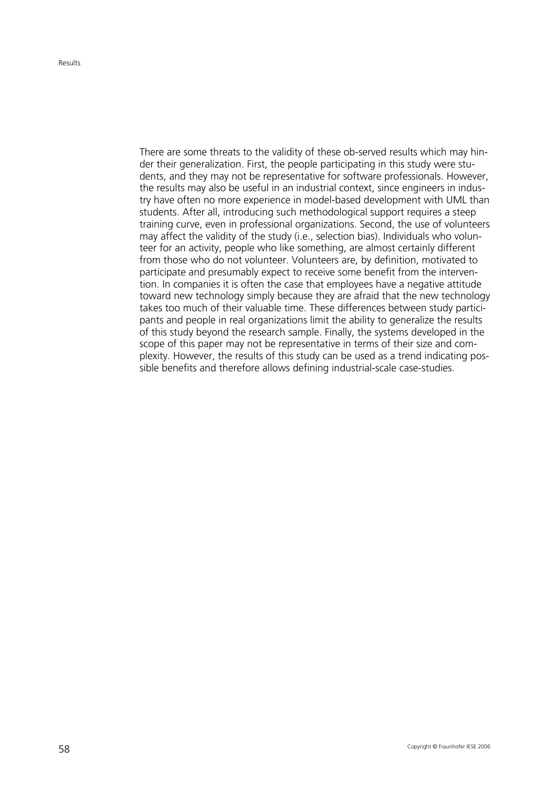There are some threats to the validity of these ob-served results which may hinder their generalization. First, the people participating in this study were students, and they may not be representative for software professionals. However, the results may also be useful in an industrial context, since engineers in industry have often no more experience in model-based development with UML than students. After all, introducing such methodological support requires a steep training curve, even in professional organizations. Second, the use of volunteers may affect the validity of the study (i.e., selection bias). Individuals who volunteer for an activity, people who like something, are almost certainly different from those who do not volunteer. Volunteers are, by definition, motivated to participate and presumably expect to receive some benefit from the intervention. In companies it is often the case that employees have a negative attitude toward new technology simply because they are afraid that the new technology takes too much of their valuable time. These differences between study participants and people in real organizations limit the ability to generalize the results of this study beyond the research sample. Finally, the systems developed in the scope of this paper may not be representative in terms of their size and complexity. However, the results of this study can be used as a trend indicating possible benefits and therefore allows defining industrial-scale case-studies.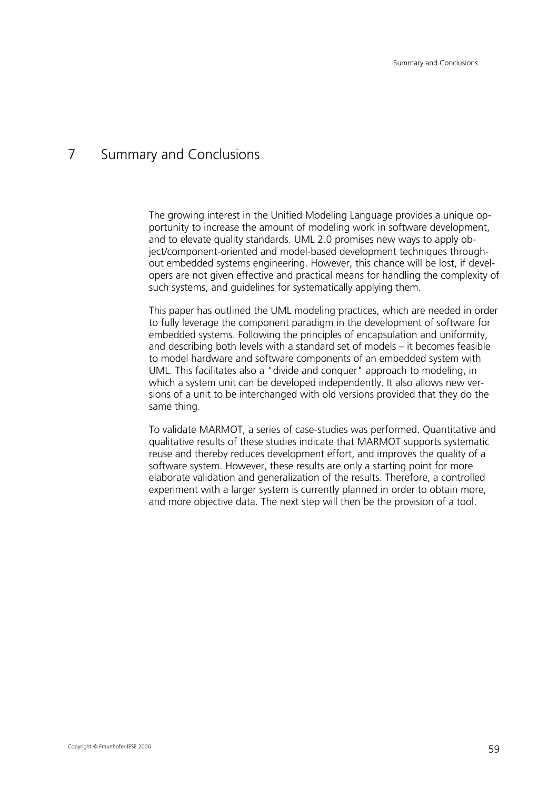# 7 Summary and Conclusions

The growing interest in the Unified Modeling Language provides a unique opportunity to increase the amount of modeling work in software development, and to elevate quality standards. UML 2.0 promises new ways to apply object/component-oriented and model-based development techniques throughout embedded systems engineering. However, this chance will be lost, if developers are not given effective and practical means for handling the complexity of such systems, and guidelines for systematically applying them.

This paper has outlined the UML modeling practices, which are needed in order to fully leverage the component paradigm in the development of software for embedded systems. Following the principles of encapsulation and uniformity, and describing both levels with a standard set of models – it becomes feasible to model hardware and software components of an embedded system with UML. This facilitates also a "divide and conquer" approach to modeling, in which a system unit can be developed independently. It also allows new versions of a unit to be interchanged with old versions provided that they do the same thing.

To validate MARMOT, a series of case-studies was performed. Quantitative and qualitative results of these studies indicate that MARMOT supports systematic reuse and thereby reduces development effort, and improves the quality of a software system. However, these results are only a starting point for more elaborate validation and generalization of the results. Therefore, a controlled experiment with a larger system is currently planned in order to obtain more, and more objective data. The next step will then be the provision of a tool.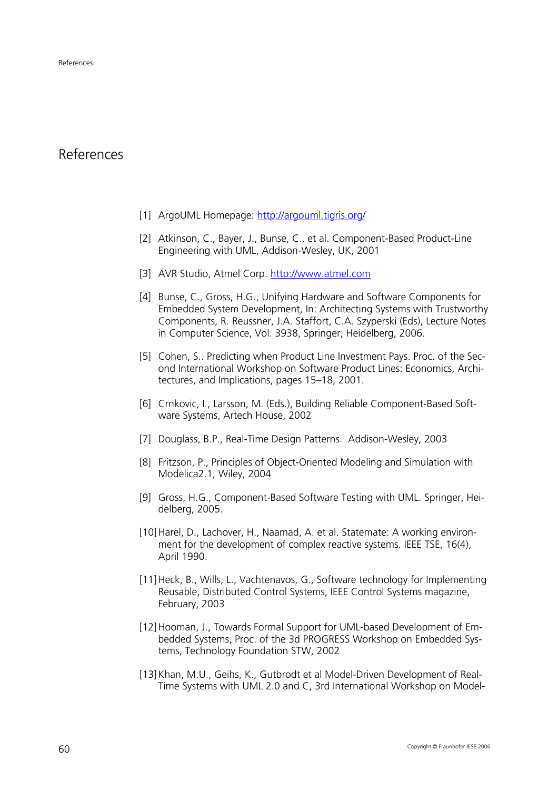# References

- [1] ArgoUML Homepage: http://argouml.tigris.org/
- [2] Atkinson, C., Bayer, J., Bunse, C., et al. Component-Based Product-Line Engineering with UML, Addison-Wesley, UK, 2001
- [3] AVR Studio, Atmel Corp. http://www.atmel.com
- [4] Bunse, C., Gross, H.G., Unifying Hardware and Software Components for Embedded System Development, In: Architecting Systems with Trustworthy Components, R. Reussner, J.A. Staffort, C.A. Szyperski (Eds), Lecture Notes in Computer Science, Vol. 3938, Springer, Heidelberg, 2006.
- [5] Cohen, S.. Predicting when Product Line Investment Pays. Proc. of the Second International Workshop on Software Product Lines: Economics, Architectures, and Implications, pages 15–18, 2001.
- [6] Crnkovic, I., Larsson, M. (Eds.), Building Reliable Component-Based Software Systems, Artech House, 2002
- [7] Douglass, B.P., Real-Time Design Patterns. Addison-Wesley, 2003
- [8] Fritzson, P., Principles of Object-Oriented Modeling and Simulation with Modelica2.1, Wiley, 2004
- [9] Gross, H.G., Component-Based Software Testing with UML. Springer, Heidelberg, 2005.
- [10]Harel, D., Lachover, H., Naamad, A. et al. Statemate: A working environment for the development of complex reactive systems. IEEE TSE, 16(4), April 1990.
- [11] Heck, B., Wills, L., Vachtenavos, G., Software technology for Implementing Reusable, Distributed Control Systems, IEEE Control Systems magazine, February, 2003
- [12]Hooman, J., Towards Formal Support for UML-based Development of Embedded Systems, Proc. of the 3d PROGRESS Workshop on Embedded Systems, Technology Foundation STW, 2002
- [13]Khan, M.U., Geihs, K., Gutbrodt et al Model-Driven Development of Real-Time Systems with UML 2.0 and C, 3rd International Workshop on Model-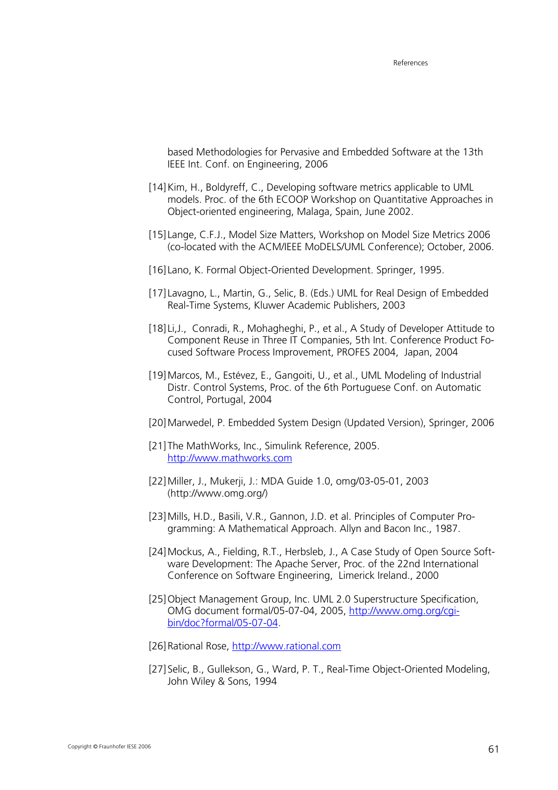based Methodologies for Pervasive and Embedded Software at the 13th IEEE Int. Conf. on Engineering, 2006

- [14]Kim, H., Boldyreff, C., Developing software metrics applicable to UML models. Proc. of the 6th ECOOP Workshop on Quantitative Approaches in Object-oriented engineering, Malaga, Spain, June 2002.
- [15] Lange, C.F.J., Model Size Matters, Workshop on Model Size Metrics 2006 (co-located with the ACM/IEEE MoDELS/UML Conference); October, 2006.
- [16] Lano, K. Formal Object-Oriented Development. Springer, 1995.
- [17] Lavagno, L., Martin, G., Selic, B. (Eds.) UML for Real Design of Embedded Real-Time Systems, Kluwer Academic Publishers, 2003
- [18] Li,J., Conradi, R., Mohagheghi, P., et al., A Study of Developer Attitude to Component Reuse in Three IT Companies, 5th Int. Conference Product Focused Software Process Improvement, PROFES 2004, Japan, 2004
- [19]Marcos, M., Estévez, E., Gangoiti, U., et al., UML Modeling of Industrial Distr. Control Systems, Proc. of the 6th Portuguese Conf. on Automatic Control, Portugal, 2004
- [20]Marwedel, P. Embedded System Design (Updated Version), Springer, 2006
- [21] The MathWorks, Inc., Simulink Reference, 2005. http://www.mathworks.com
- [22]Miller, J., Mukerji, J.: MDA Guide 1.0, omg/03-05-01, 2003 (http://www.omg.org/)
- [23]Mills, H.D., Basili, V.R., Gannon, J.D. et al. Principles of Computer Programming: A Mathematical Approach. Allyn and Bacon Inc., 1987.
- [24] Mockus, A., Fielding, R.T., Herbsleb, J., A Case Study of Open Source Software Development: The Apache Server, Proc. of the 22nd International Conference on Software Engineering, Limerick Ireland., 2000
- [25]Object Management Group, Inc. UML 2.0 Superstructure Specification, OMG document formal/05-07-04, 2005, http://www.omg.org/cgibin/doc?formal/05-07-04.
- [26] Rational Rose, http://www.rational.com
- [27] Selic, B., Gullekson, G., Ward, P. T., Real-Time Object-Oriented Modeling, John Wiley & Sons, 1994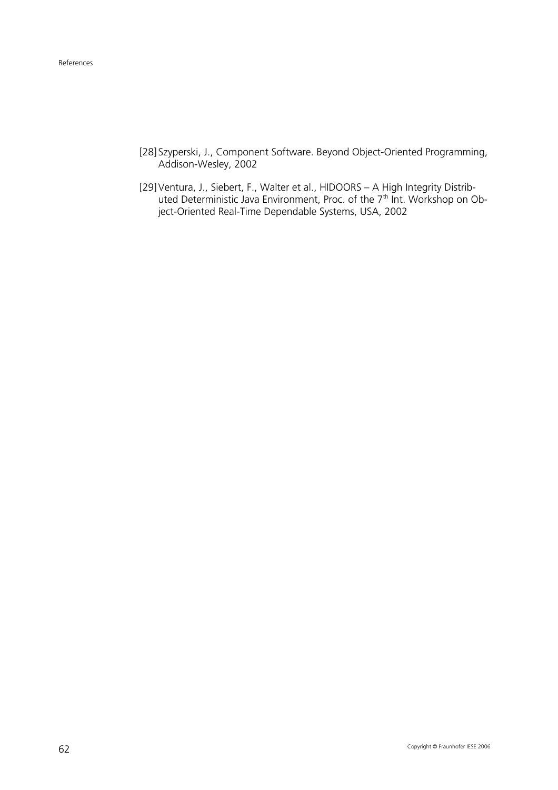- [28] Szyperski, J., Component Software. Beyond Object-Oriented Programming, Addison-Wesley, 2002
- [29]Ventura, J., Siebert, F., Walter et al., HIDOORS A High Integrity Distributed Deterministic Java Environment, Proc. of the 7th Int. Workshop on Object-Oriented Real-Time Dependable Systems, USA, 2002